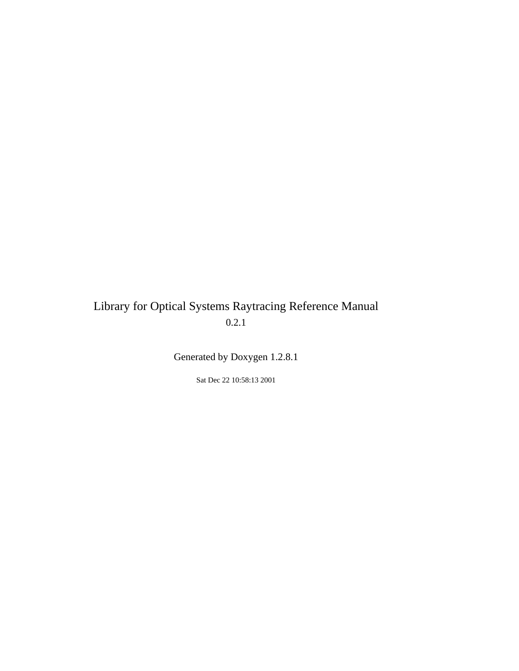# Library for Optical Systems Raytracing Reference Manual 0.2.1

Generated by Doxygen 1.2.8.1

Sat Dec 22 10:58:13 2001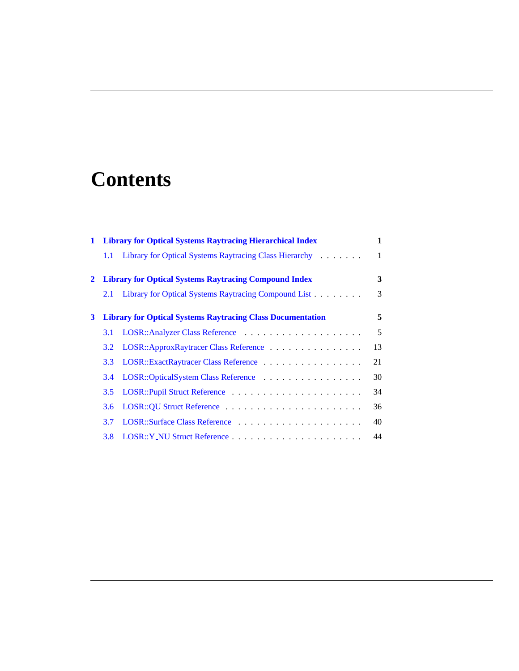# **Contents**

| $\mathbf{1}$ |                  | <b>Library for Optical Systems Raytracing Hierarchical Index</b>  | 1  |
|--------------|------------------|-------------------------------------------------------------------|----|
|              | $1.1\,$          | Library for Optical Systems Raytracing Class Hierarchy            | 1  |
| $2^{\circ}$  |                  | <b>Library for Optical Systems Raytracing Compound Index</b>      | 3  |
|              | 2.1              | Library for Optical Systems Raytracing Compound List              | 3  |
| 3            |                  | <b>Library for Optical Systems Raytracing Class Documentation</b> | 5  |
|              | <b>3.1</b>       |                                                                   | 5  |
|              | 3.2              | LOSR::ApproxRaytracer Class Reference                             | 13 |
|              | 3.3 <sup>°</sup> | LOSR::ExactRaytracer Class Reference                              | 21 |
|              | $3.4^{\circ}$    | LOSR::OpticalSystem Class Reference                               | 30 |
|              | $3.5^{\circ}$    |                                                                   | 34 |
|              | 3.6              |                                                                   | 36 |
|              | 3.7              |                                                                   | 40 |
|              | 3.8              |                                                                   | 44 |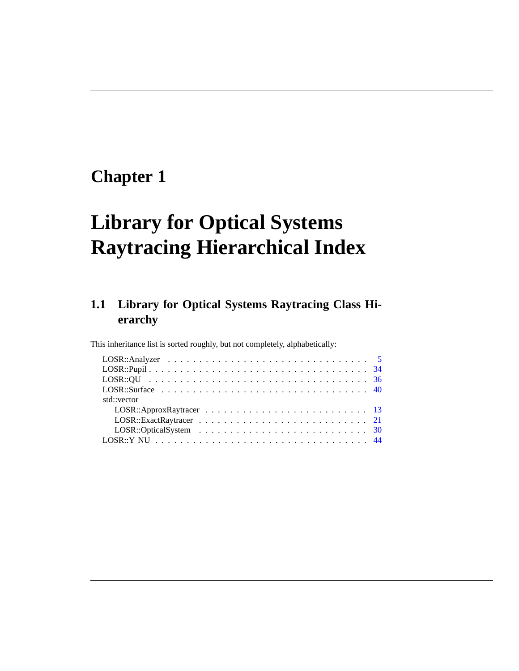# <span id="page-4-0"></span>**Chapter 1**

# **Library for Optical Systems Raytracing Hierarchical Index**

# <span id="page-4-1"></span>**1.1 Library for Optical Systems Raytracing Class Hierarchy**

This inheritance list is sorted roughly, but not completely, alphabetically:

| std::vector |  |  |  |
|-------------|--|--|--|
|             |  |  |  |
|             |  |  |  |
|             |  |  |  |
|             |  |  |  |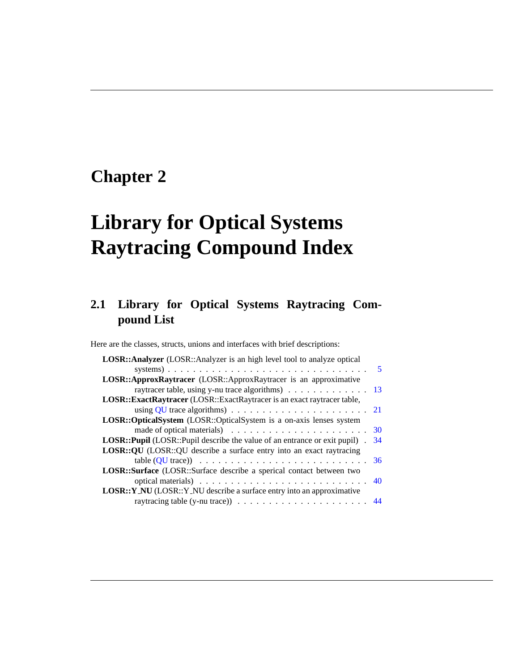# <span id="page-6-0"></span>**Chapter 2**

# **Library for Optical Systems Raytracing Compound Index**

# <span id="page-6-1"></span>**2.1 Library for Optical Systems Raytracing Compound List**

Here are the classes, structs, unions and interfaces with brief descriptions:

| <b>LOSR::Analyzer</b> (LOSR::Analyzer is an high level tool to analyze optical                 |
|------------------------------------------------------------------------------------------------|
|                                                                                                |
| LOSR::ApproxRaytracer (LOSR::ApproxRaytracer is an approximative                               |
| raytracer table, using y-nu trace algorithms) 13                                               |
| LOSR::ExactRaytracer (LOSR::ExactRaytracer is an exact raytracer table,                        |
| using QU trace algorithms) $\ldots \ldots \ldots \ldots \ldots \ldots \ldots 21$               |
| LOSR::OpticalSystem (LOSR::OpticalSystem is a on-axis lenses system                            |
| made of optical materials) $\ldots \ldots \ldots \ldots \ldots \ldots \ldots \ldots \ldots$ 30 |
| <b>LOSR::Pupil</b> (LOSR::Pupil describe the value of an entrance or exit pupil).<br>34        |
| <b>LOSR::QU</b> (LOSR::QU describe a surface entry into an exact raytracing                    |
|                                                                                                |
| LOSR::Surface (LOSR::Surface describe a sperical contact between two                           |
| optical materials) $\ldots \ldots \ldots \ldots \ldots \ldots \ldots \ldots \ldots$            |
| <b>LOSR:: Y_NU</b> (LOSR:: Y_NU describe a surface entry into an approximative                 |
| raytracing table (y-nu trace)) $\ldots \ldots \ldots \ldots \ldots \ldots \ldots \ldots$ 44    |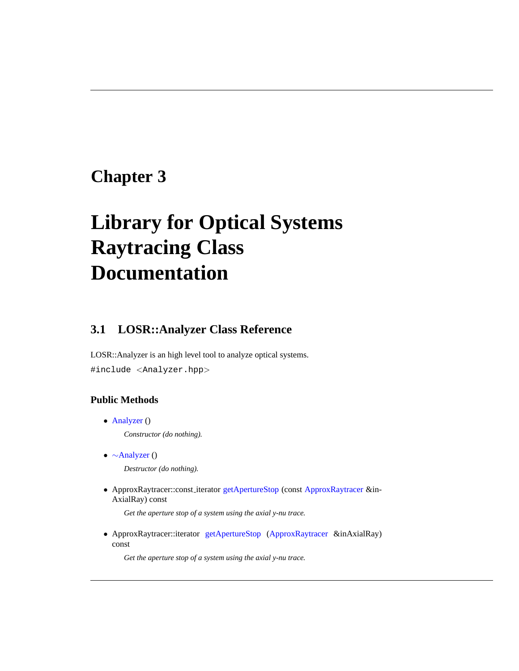# <span id="page-8-0"></span>**Chapter 3**

# **Library for Optical Systems Raytracing Class Documentation**

# <span id="page-8-1"></span>**3.1 LOSR::Analyzer Class Reference**

LOSR::Analyzer is an high level tool to analyze optical systems. #include <Analyzer.hpp>

# **Public Methods**

<span id="page-8-2"></span>• [Analyzer](#page-8-2) ()

*Constructor (do nothing).*

<span id="page-8-3"></span>• ∼[Analyzer](#page-8-3) ()

*Destructor (do nothing).*

• ApproxRaytracer::const iterator [getApertureStop](#page-11-0) (const [ApproxRaytracer](#page-16-0) &in-AxialRay) const

*Get the aperture stop of a system using the axial y-nu trace.*

• ApproxRaytracer::iterator [getApertureStop](#page-10-0) ([ApproxRaytracer](#page-16-0) &inAxialRay) const

*Get the aperture stop of a system using the axial y-nu trace.*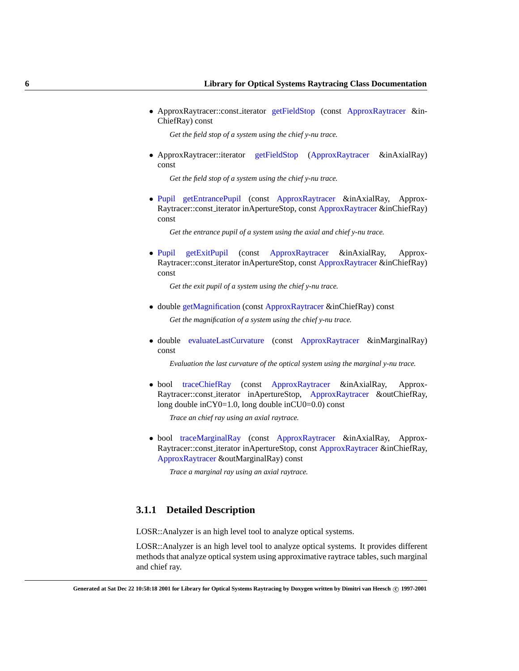• ApproxRaytracer::const iterator [getFieldStop](#page-13-0) (const [ApproxRaytracer](#page-16-0) &in-ChiefRay) const

*Get the field stop of a system using the chief y-nu trace.*

• ApproxRaytracer::iterator [getFieldStop](#page-12-0) ([ApproxRaytracer](#page-16-0) &inAxialRay) const

*Get the field stop of a system using the chief y-nu trace.*

• [Pupil](#page-37-0) [getEntrancePupil](#page-11-1) (const [ApproxRaytracer](#page-16-0) &inAxialRay, Approx-Raytracer::const iterator inApertureStop, const [ApproxRaytracer](#page-16-0) &inChiefRay) const

*Get the entrance pupil of a system using the axial and chief y-nu trace.*

• [Pupil](#page-37-0) [getExitPupil](#page-12-1) (const [ApproxRaytracer](#page-16-0) &inAxialRay, Approx-Raytracer::const iterator inApertureStop, const [ApproxRaytracer](#page-16-0) &inChiefRay) const

*Get the exit pupil of a system using the chief y-nu trace.*

- double [getMagnification](#page-13-1) (const [ApproxRaytracer](#page-16-0) &inChiefRay) const *Get the magnification of a system using the chief y-nu trace.*
- double [evaluateLastCurvature](#page-10-1) (const [ApproxRaytracer](#page-16-0) &inMarginalRay) const

*Evaluation the last curvature of the optical system using the marginal y-nu trace.*

• bool [traceChiefRay](#page-13-2) (const [ApproxRaytracer](#page-16-0) &inAxialRay, Approx-Raytracer::const iterator inApertureStop, [ApproxRaytracer](#page-16-0) &outChiefRay, long double inCY0=1.0, long double inCU0=0.0) const

*Trace an chief ray using an axial raytrace.*

• bool [traceMarginalRay](#page-14-0) (const [ApproxRaytracer](#page-16-0) &inAxialRay, Approx-Raytracer::const iterator inApertureStop, const [ApproxRaytracer](#page-16-0) &inChiefRay, [ApproxRaytracer](#page-16-0) &outMarginalRay) const

*Trace a marginal ray using an axial raytrace.*

# **3.1.1 Detailed Description**

LOSR::Analyzer is an high level tool to analyze optical systems.

LOSR::Analyzer is an high level tool to analyze optical systems. It provides different methods that analyze optical system using approximative raytrace tables, such marginal and chief ray.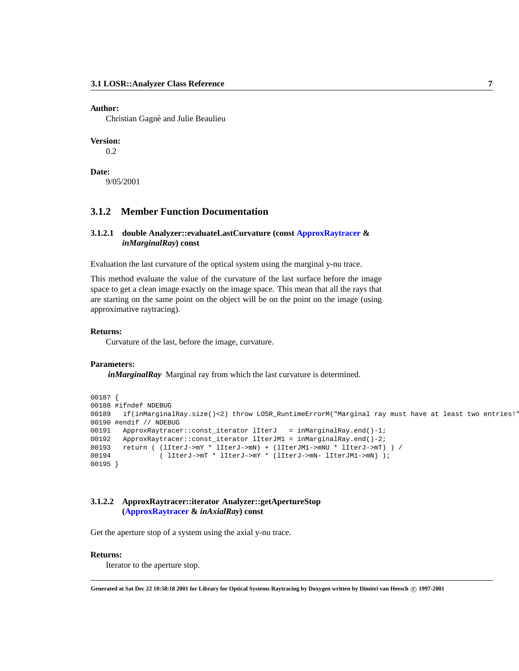#### **Author:**

Christian Gagné and Julie Beaulieu

#### **Version:**

0.2

**Date:** 9/05/2001

# **3.1.2 Member Function Documentation**

# <span id="page-10-1"></span>**3.1.2.1 double Analyzer::evaluateLastCurvature (const [ApproxRaytracer](#page-16-0) &** *inMarginalRay***) const**

Evaluation the last curvature of the optical system using the marginal y-nu trace.

This method evaluate the value of the curvature of the last surface before the image space to get a clean image exactly on the image space. This mean that all the rays that are starting on the same point on the object will be on the point on the image (using approximative raytracing).

# **Returns:**

Curvature of the last, before the image, curvature.

# **Parameters:**

*inMarginalRay* Marginal ray from which the last curvature is determined.

```
00187 {
00188 #ifndef NDEBUG
00189 if(inMarginalRay.size()<2) throw LOSR_RuntimeErrorM("Marginal ray must have at least two entries!"
00190 #endif // NDEBUG
00191 ApproxRaytracer::const_iterator lIterJ = inMarginalRay.end()-1;
00192 ApproxRaytracer::const_iterator lIterJM1 = inMarginalRay.end()-2;
00193 return ( (lIterJ->mY * lIterJ->mN) + (lIterJM1->mNU * lIterJ->mT) ) /
00194 ( lIterJ\rightarrow mT * lIterJ\rightarrow mY * (lIterJ\rightarrow mN- lIterJM1\rightarrow mN) );
00195 }
```
# <span id="page-10-0"></span>**3.1.2.2 ApproxRaytracer::iterator Analyzer::getApertureStop ([ApproxRaytracer](#page-16-0) &** *inAxialRay***) const**

Get the aperture stop of a system using the axial y-nu trace.

# **Returns:**

Iterator to the aperture stop.

**Generated at Sat Dec 22 10:58:18 2001 for Library for Optical Systems Raytracing by Doxygen written by Dimitri van Heesch c 1997-2001**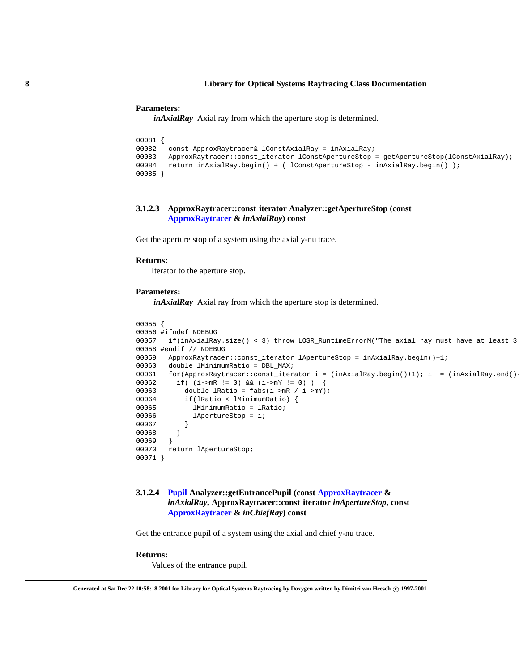#### **Parameters:**

*inAxialRay* Axial ray from which the aperture stop is determined.

```
00081 {
       const ApproxRaytracer& lConstAxialRay = inAxialRay;
00083 ApproxRaytracer::const_iterator lConstApertureStop = getApertureStop(lConstAxialRay);
00084 return inAxialRay.begin() + ( lConstApertureStop - inAxialRay.begin() );
00085 }
```
# <span id="page-11-0"></span>**3.1.2.3 ApproxRaytracer::const iterator Analyzer::getApertureStop (const [ApproxRaytracer](#page-16-0) &** *inAxialRay***) const**

Get the aperture stop of a system using the axial y-nu trace.

# **Returns:**

Iterator to the aperture stop.

#### **Parameters:**

*inAxialRay* Axial ray from which the aperture stop is determined.

```
00055 {
00056 #ifndef NDEBUG
00057 if(inAxialRay.size() < 3) throw LOSR_RuntimeErrorM("The axial ray must have at least 3
00058 #endif // NDEBUG
00059 ApproxRaytracer::const_iterator lApertureStop = inAxialRay.begin()+1;
00060 double lMinimumRatio = DBL MAX;
00061 for(ApproxRaytracer::const_iterator i = (inAxialRay.begin()+1); i != (inAxialRay.end()-
00062 if( (i->mR != 0) && (i->mY != 0) ) {
00063 double lRatio = fabs(i->mR / i->mY);
00064 if(lRatio < lMinimumRatio) {
00065 lMinimumRatio = lRatio;
00066 lApertureStop = i;
00067
00068 }
00069 }
00070 return lApertureStop;
00071 }
```
# <span id="page-11-1"></span>**3.1.2.4 [Pupil](#page-37-0) Analyzer::getEntrancePupil (const [ApproxRaytracer](#page-16-0) &** *inAxialRay***, ApproxRaytracer::const iterator** *inApertureStop***, const [ApproxRaytracer](#page-16-0) &** *inChiefRay***) const**

Get the entrance pupil of a system using the axial and chief y-nu trace.

# **Returns:**

Values of the entrance pupil.

**Generated at Sat Dec 22 10:58:18 2001 for Library for Optical Systems Raytracing by Doxygen written by Dimitri van Heesch c 1997-2001**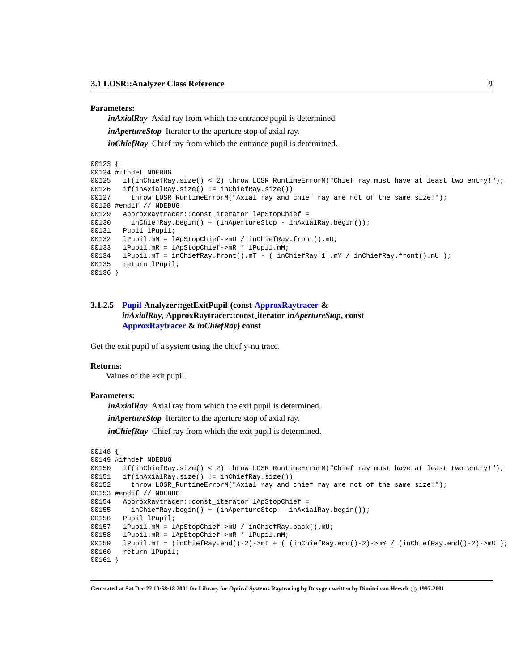#### **Parameters:**

*inAxialRay* Axial ray from which the entrance pupil is determined.

*inApertureStop* Iterator to the aperture stop of axial ray.

*inChiefRay* Chief ray from which the entrance pupil is determined.

```
00123 {
```

```
00124 #ifndef NDEBUG
00125 if(inChiefRay.size() < 2) throw LOSR_RuntimeErrorM("Chief ray must have at least two entry!");
00126 if(inAxialRay.size() != inChiefRay.size())
00127 throw LOSR_RuntimeErrorM("Axial ray and chief ray are not of the same size!");
00128 #endif // NDEBUG
00129 ApproxRaytracer::const_iterator lApStopChief =
00130 inChiefRay.begin() + (inApertureStop - inAxialRay.begin());
00131 Pupil lPupil;
00132 lPupil.mM = lApStopChief->mU / inChiefRay.front().mU;
00133 lPupil.mR = lApStopChief->mR * lPupil.mM;
00134 lPupil.mT = inChiefRay.front().mT - ( inChiefRay[1].mY / inChiefRay.front().mU );
00135 return lPupil;
00136 }
```
# <span id="page-12-1"></span>**3.1.2.5 [Pupil](#page-37-0) Analyzer::getExitPupil (const [ApproxRaytracer](#page-16-0) &** *inAxialRay***, ApproxRaytracer::const iterator** *inApertureStop***, const [ApproxRaytracer](#page-16-0) &** *inChiefRay***) const**

Get the exit pupil of a system using the chief y-nu trace.

# **Returns:**

Values of the exit pupil.

# **Parameters:**

*inAxialRay* Axial ray from which the exit pupil is determined.

*inApertureStop* Iterator to the aperture stop of axial ray.

*inChiefRay* Chief ray from which the exit pupil is determined.

```
00148 {
00149 #ifndef NDEBUG
00150 if(inChiefRay.size() < 2) throw LOSR RuntimeErrorM("Chief ray must have at least two entry!");
00151 if(inAxialRay.size() != inChiefRay.size())
00152 throw LOSR_RuntimeErrorM("Axial ray and chief ray are not of the same size!");
00153 #endif // NDEBUG
00154 ApproxRaytracer::const_iterator lApStopChief =
00155 inChiefRay.begin() + (inApertureStop - inAxialRay.begin());
00156 Pupil lPupil;
00157 lPupil.mM = lApStopChief->mU / inChiefRay.back().mU;
00158 lPupil.mR = lApStopChief->mR * lPupil.mM;
00159 lPupil.mT = (inChiefRay.end()-2)->mT + ( (inChiefRay.end()-2)->mY / (inChiefRay.end()-2)->mU );
00160 return lPupil;
00161 }
```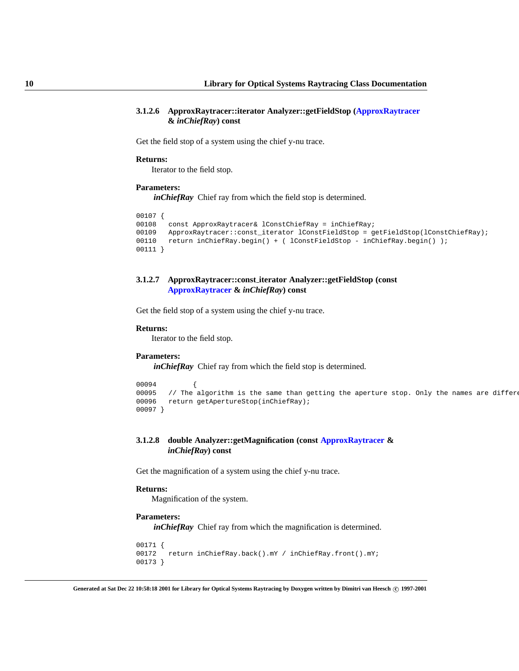# **3.1.2.6 ApproxRaytracer::iterator Analyzer::getFieldStop [\(ApproxRaytracer](#page-16-0) &** *inChiefRay***) const**

Get the field stop of a system using the chief y-nu trace.

# **Returns:**

Iterator to the field stop.

#### **Parameters:**

*inChiefRay* Chief ray from which the field stop is determined.

```
00107 {
       const ApproxRaytracer& lConstChiefRay = inChiefRay;
00109 ApproxRaytracer::const_iterator lConstFieldStop = getFieldStop(lConstChiefRay);
00110 return inChiefRay.begin() + ( lConstFieldStop - inChiefRay.begin() );
00111 }
```
# <span id="page-13-0"></span>**3.1.2.7 ApproxRaytracer::const iterator Analyzer::getFieldStop (const [ApproxRaytracer](#page-16-0) &** *inChiefRay***) const**

Get the field stop of a system using the chief y-nu trace.

#### **Returns:**

Iterator to the field stop.

#### **Parameters:**

*inChiefRay* Chief ray from which the field stop is determined.

```
00094 {
00095 // The algorithm is the same than getting the aperture stop. Only the names are different
00096 return getApertureStop(inChiefRay);
00097 }
```
# <span id="page-13-1"></span>**3.1.2.8 double Analyzer::getMagnification (const [ApproxRaytracer](#page-16-0) &** *inChiefRay***) const**

Get the magnification of a system using the chief y-nu trace.

# **Returns:**

Magnification of the system.

# **Parameters:**

*inChiefRay* Chief ray from which the magnification is determined.

```
00171 {
00172 return inChiefRay.back().mY / inChiefRay.front().mY;
00173 }
```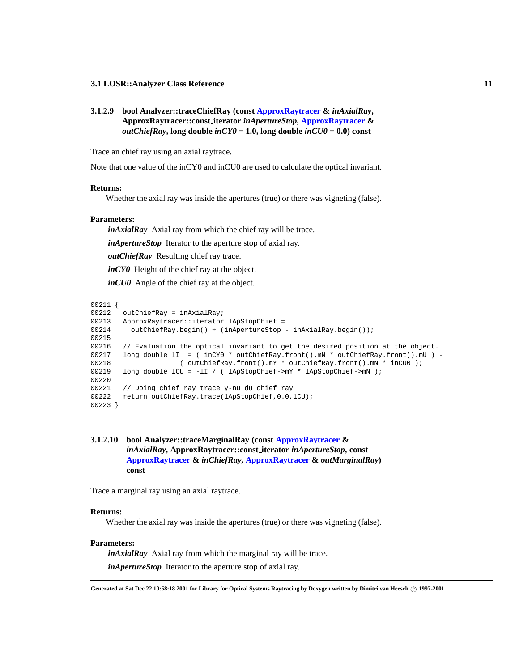# **3.1.2.9 bool Analyzer::traceChiefRay (const [ApproxRaytracer](#page-16-0) &** *inAxialRay***, ApproxRaytracer::const iterator** *inApertureStop***, [ApproxRaytracer](#page-16-0) &** *outChiefRay*, long double  $\text{inCYO} = 1.0$ , long double  $\text{inCUO} = 0.0$  const

Trace an chief ray using an axial raytrace.

Note that one value of the inCY0 and inCU0 are used to calculate the optical invariant.

# **Returns:**

Whether the axial ray was inside the apertures (true) or there was vigneting (false).

# **Parameters:**

*inAxialRay* Axial ray from which the chief ray will be trace.

*inApertureStop* Iterator to the aperture stop of axial ray.

*outChiefRay* Resulting chief ray trace.

*inCY0* Height of the chief ray at the object.

*inCU0* Angle of the chief ray at the object.

```
00211 {
00212 outChiefRay = inAxialRay;
00213 ApproxRaytracer::iterator lApStopChief =
00214 outChiefRay.begin() + (inApertureStop - inAxialRay.begin());
00215
00216 // Evaluation the optical invariant to get the desired position at the object.
00217 long double lI = ( inCY0 * outChiefRay.front().mN * outChiefRay.front().mU ) -
00218 ( outChiefRay.front().mY * outChiefRay.front().mN * inCU0 );
00219 long double lCU = -lI / ( lApStopChief->mY * lApStopChief->mN );
00220
00221 // Doing chief ray trace y-nu du chief ray
00222 return outChiefRay.trace(lApStopChief, 0.0, lCU);
00223 }
```
# <span id="page-14-0"></span>**3.1.2.10 bool Analyzer::traceMarginalRay (const [ApproxRaytracer](#page-16-0) &** *inAxialRay***, ApproxRaytracer::const iterator** *inApertureStop***, const [ApproxRaytracer](#page-16-0) &** *inChiefRay***, [ApproxRaytracer](#page-16-0) &** *outMarginalRay***) const**

Trace a marginal ray using an axial raytrace.

#### **Returns:**

Whether the axial ray was inside the apertures (true) or there was vigneting (false).

# **Parameters:**

*inAxialRay* Axial ray from which the marginal ray will be trace. *inApertureStop* Iterator to the aperture stop of axial ray.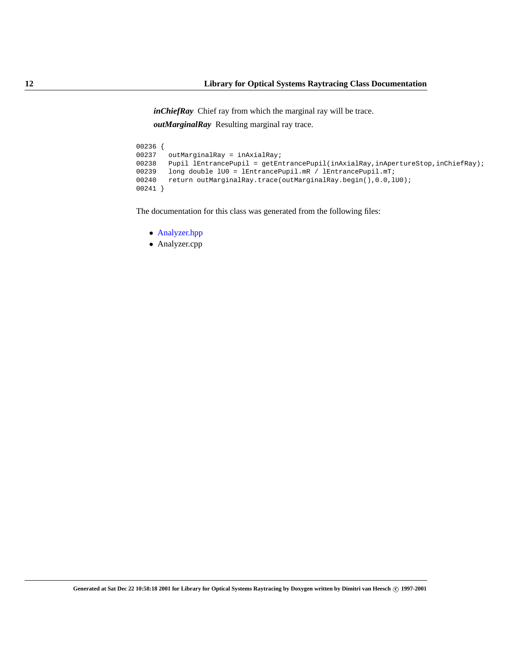*inChiefRay* Chief ray from which the marginal ray will be trace. *outMarginalRay* Resulting marginal ray trace.

```
00236 {<br>00237
          outMarginalRay = inAxialRay;00238 Pupil lEntrancePupil = getEntrancePupil(inAxialRay,inApertureStop,inChiefRay);
00239 long double 1U0 = lEntrancePupil.mR / lEntrancePupil.mT;<br>00240 return outMarginalRay.trace(outMarginalRay.begin(),0.0,l
          return outMarginalRay.trace(outMarginalRay.begin(), 0.0, 100);
00241 }
```
The documentation for this class was generated from the following files:

- Analyzer.hpp
- Analyzer.cpp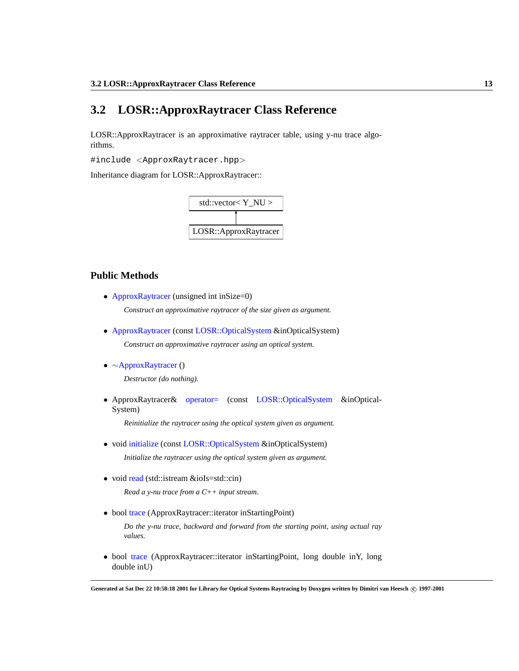# <span id="page-16-0"></span>**3.2 LOSR::ApproxRaytracer Class Reference**

LOSR::ApproxRaytracer is an approximative raytracer table, using y-nu trace algorithms.

#include <ApproxRaytracer.hpp>

Inheritance diagram for LOSR::ApproxRaytracer::



# **Public Methods**

• [ApproxRaytracer](#page-17-0) (unsigned int inSize=0)

*Construct an approximative raytracer of the size given as argument.*

- [ApproxRaytracer](#page-18-0) (const [LOSR::OpticalSystem](#page-33-0) &inOpticalSystem) *Construct an approximative raytracer using an optical system.*
- <span id="page-16-1"></span>• ∼[ApproxRaytracer](#page-16-1) ()

*Destructor (do nothing).*

• ApproxRaytracer& [operator=](#page-18-1) (const [LOSR::OpticalSystem](#page-33-0) &inOptical-System)

*Reinitialize the raytracer using the optical system given as argument.*

• void [initialize](#page-18-2) (const [LOSR::OpticalSystem](#page-33-0) &inOpticalSystem)

*Initialize the raytracer using the optical system given as argument.*

• void [read](#page-19-0) (std::istream &ioIs=std::cin)

*Read a y-nu trace from a C++ input stream.*

• bool [trace](#page-20-0) (ApproxRaytracer::iterator inStartingPoint)

*Do the y-nu trace, backward and forward from the starting point, using actual ray values.*

• bool [trace](#page-19-1) (ApproxRaytracer::iterator inStartingPoint, long double inY, long double inU)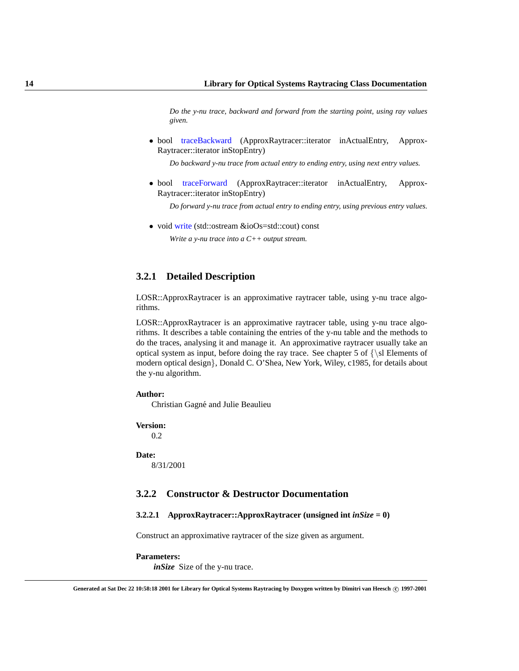*Do the y-nu trace, backward and forward from the starting point, using ray values given.*

• bool [traceBackward](#page-20-1) (ApproxRaytracer::iterator inActualEntry, Approx-Raytracer::iterator inStopEntry)

*Do backward y-nu trace from actual entry to ending entry, using next entry values.*

• bool [traceForward](#page-21-0) (ApproxRaytracer::iterator inActualEntry, Approx-Raytracer::iterator inStopEntry)

*Do forward y-nu trace from actual entry to ending entry, using previous entry values.*

• void [write](#page-22-0) (std::ostream &ioOs=std::cout) const

*Write a y-nu trace into a C++ output stream.*

# **3.2.1 Detailed Description**

LOSR::ApproxRaytracer is an approximative raytracer table, using y-nu trace algorithms.

LOSR::ApproxRaytracer is an approximative raytracer table, using y-nu trace algorithms. It describes a table containing the entries of the y-nu table and the methods to do the traces, analysing it and manage it. An approximative raytracer usually take an optical system as input, before doing the ray trace. See chapter 5 of  $\{\s\}$  Elements of modern optical design}, Donald C. O'Shea, New York, Wiley, c1985, for details about the y-nu algorithm.

# **Author:**

Christian Gagné and Julie Beaulieu

# **Version:**

0.2

#### **Date:**

8/31/2001

# **3.2.2 Constructor & Destructor Documentation**

# <span id="page-17-0"></span>**3.2.2.1 ApproxRaytracer::ApproxRaytracer (unsigned int** *inSize* **= 0)**

Construct an approximative raytracer of the size given as argument.

#### **Parameters:**

*inSize* Size of the y-nu trace.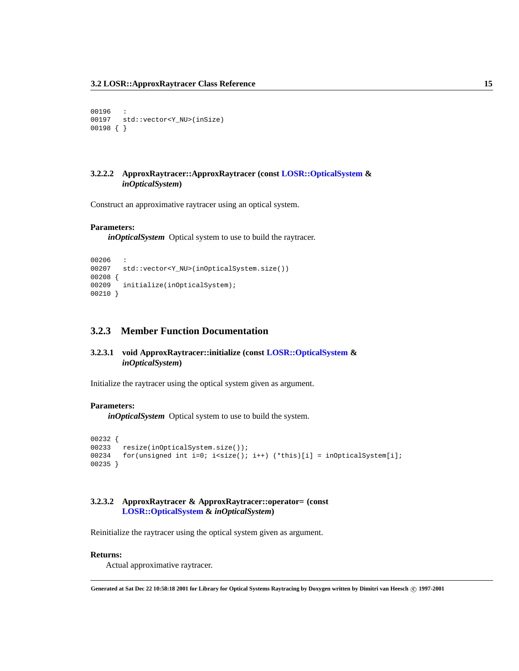```
00196
00197 std::vector<Y_NU>(inSize)
00198 { }
```
# <span id="page-18-0"></span>**3.2.2.2 ApproxRaytracer::ApproxRaytracer (const [LOSR::OpticalSystem](#page-33-0) &** *inOpticalSystem***)**

Construct an approximative raytracer using an optical system.

# **Parameters:**

*inOpticalSystem* Optical system to use to build the raytracer.

```
00206 :
00207 std::vector<Y_NU>(inOpticalSystem.size())
00208 {
00209 initialize(inOpticalSystem);
00210 }
```
# **3.2.3 Member Function Documentation**

# <span id="page-18-2"></span>**3.2.3.1 void ApproxRaytracer::initialize (const [LOSR::OpticalSystem](#page-33-0) &** *inOpticalSystem***)**

Initialize the raytracer using the optical system given as argument.

# **Parameters:**

*inOpticalSystem* Optical system to use to build the system.

```
00232 {
00233 resize(inOpticalSystem.size());
00234 for(unsigned int i=0; i<size(); i++) (*this)[i] = inOpticalSystem[i];
00235 }
```
# <span id="page-18-1"></span>**3.2.3.2 ApproxRaytracer & ApproxRaytracer::operator= (const [LOSR::OpticalSystem](#page-33-0) &** *inOpticalSystem***)**

Reinitialize the raytracer using the optical system given as argument.

# **Returns:**

Actual approximative raytracer.

**Generated at Sat Dec 22 10:58:18 2001 for Library for Optical Systems Raytracing by Doxygen written by Dimitri van Heesch c 1997-2001**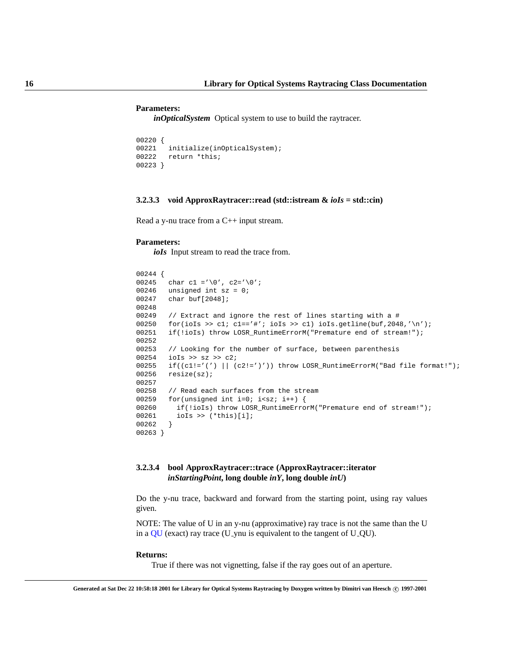#### **Parameters:**

*inOpticalSystem* Optical system to use to build the raytracer.

```
00220 {<br>00221initialize(inOpticalSystem);
00222 return *this;
00223 }
```
# <span id="page-19-0"></span>**3.2.3.3 void ApproxRaytracer::read (std::istream &** *ioIs* **= std::cin)**

Read a y-nu trace from a C++ input stream.

# **Parameters:**

*ioIs* Input stream to read the trace from.

```
00244 {
00245 char c1 ='\0', c2='\0';
00246 unsigned int sz = 0;
00247 char buf[2048];
00248
00249 // Extract and ignore the rest of lines starting with a #
00250 for(ioIs >> cl; cl=='#'; ioIs >> cl) ioIs.getline(buf, 2048, '\n');
00251 if(!ioIs) throw LOSR_RuntimeErrorM("Premature end of stream!");
00252
00253 // Looking for the number of surface, between parenthesis
00254 ioIs >> sz >> c2;
00255 if((cl!='(')] (c2!='')')) throw LOSR_RuntimeErrorM("Bad file format!");
00256 resize(sz);
00257
00258 // Read each surfaces from the stream
00259 for(unsigned int i=0; i<sz; i++) {
00260 if(!ioIs) throw LOSR_RuntimeErrorM("Premature end of stream!");
00261 ioIs >> (*this)[i];
00262 }
00263 }
```
# <span id="page-19-1"></span>**3.2.3.4 bool ApproxRaytracer::trace (ApproxRaytracer::iterator** *inStartingPoint***, long double** *inY***, long double** *inU***)**

Do the y-nu trace, backward and forward from the starting point, using ray values given.

NOTE: The value of U in an y-nu (approximative) ray trace is not the same than the U in a [QU](#page-39-0) (exact) ray trace (U ynu is equivalent to the tangent of U QU).

#### **Returns:**

True if there was not vignetting, false if the ray goes out of an aperture.

**Generated at Sat Dec 22 10:58:18 2001 for Library for Optical Systems Raytracing by Doxygen written by Dimitri van Heesch c 1997-2001**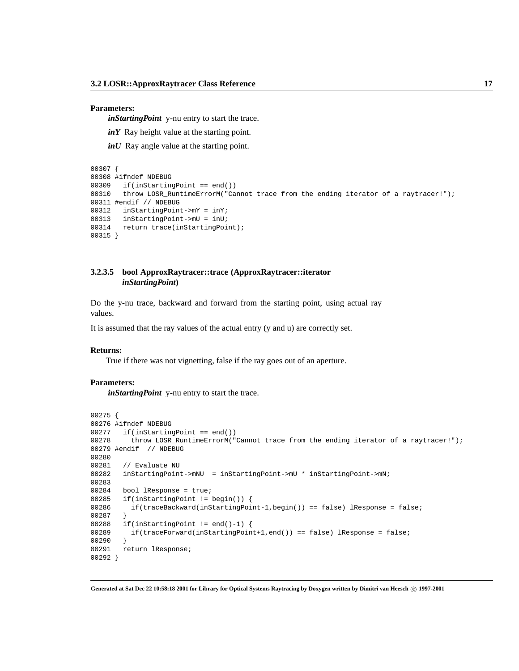#### **Parameters:**

*inStartingPoint* y-nu entry to start the trace.

*inY* Ray height value at the starting point.

*inU* Ray angle value at the starting point.

```
00307 {
00308 #ifndef NDEBUG
00309 if(inStartingPoint == end())
00310 throw LOSR_RuntimeErrorM("Cannot trace from the ending iterator of a raytracer!");
00311 #endif // NDEBUG
00312 inStartingPoint->mY = inY;
00313 inStartingPoint->mU = inU;
00314 return trace(inStartingPoint);
00315 }
```
# <span id="page-20-0"></span>**3.2.3.5 bool ApproxRaytracer::trace (ApproxRaytracer::iterator** *inStartingPoint***)**

Do the y-nu trace, backward and forward from the starting point, using actual ray values.

It is assumed that the ray values of the actual entry (y and u) are correctly set.

#### **Returns:**

True if there was not vignetting, false if the ray goes out of an aperture.

# **Parameters:**

*inStartingPoint* y-nu entry to start the trace.

```
00275 {
00276 #ifndef NDEBUG
00277 if(inStartingPoint == end())
00278 throw LOSR_RuntimeErrorM("Cannot trace from the ending iterator of a raytracer!");
00279 #endif // NDEBUG
00280
00281 // Evaluate NU
00282 inStartingPoint->mNU = inStartingPoint->mU * inStartingPoint->mN;
00283
00284 bool lResponse = true;
00285 if(inStartingPoint != begin()) {
00286 if(traceBackward(inStartingPoint-1,begin()) == false) lResponse = false;
00287 }
00288 if(inStartingPoint != end()-1) {
00289 if(traceForward(inStartingPoint+1,end()) == false) lResponse = false;
00290 }
00291 return lResponse;
00292 }
```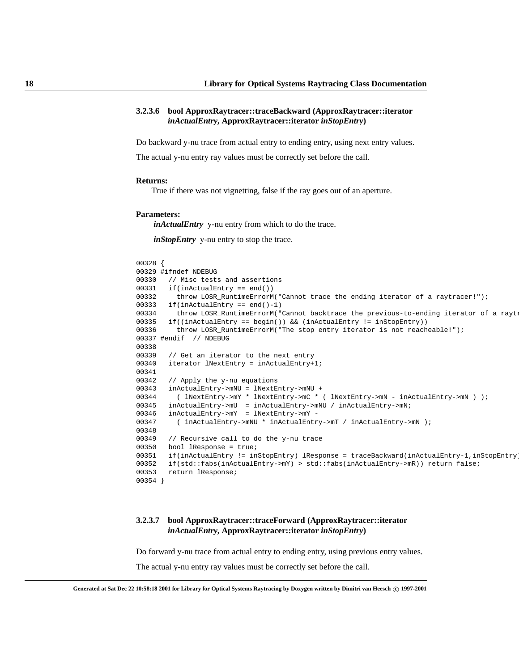# **3.2.3.6 bool ApproxRaytracer::traceBackward (ApproxRaytracer::iterator** *inActualEntry***, ApproxRaytracer::iterator** *inStopEntry***)**

Do backward y-nu trace from actual entry to ending entry, using next entry values.

The actual y-nu entry ray values must be correctly set before the call.

#### **Returns:**

True if there was not vignetting, false if the ray goes out of an aperture.

#### **Parameters:**

*inActualEntry* y-nu entry from which to do the trace.

*inStopEntry* y-nu entry to stop the trace.

```
00328 {
00329 #ifndef NDEBUG
00330 // Misc tests and assertions
00331 if(inActualEntry == end())
00332 throw LOSR_RuntimeErrorM("Cannot trace the ending iterator of a raytracer!");
00333 if(inActualEntry == end()-1)
00334 throw LOSR_RuntimeErrorM("Cannot backtrace the previous-to-ending iterator of a rayt:
00335 if((inActualEntry == begin()) && (inActualEntry != inStopEntry))
00336 throw LOSR_RuntimeErrorM("The stop entry iterator is not reacheable!");
00337 #endif // NDEBUG
00338
00339 // Get an iterator to the next entry
00340 iterator lNextEntry = inActualEntry+1;
00341
00342 // Apply the y-nu equations
00343 inActualEntry->mNU = lNextEntry->mNU +
00344 ( lNextEntry->mY * lNextEntry->mC * ( lNextEntry->mN - inActualEntry->mN ) );
00345 inActualEntry->mU = inActualEntry->mNU / inActualEntry->mN;
00346 inActualEntry->mY = lNextEntry->mY -
00347 ( inActually\_mNU * inActualEntry\_mm / inActually\_mTV / inActualEntry\_mm );
00348
00349 // Recursive call to do the y-nu trace
00350 bool lResponse = true;
00351 if(inActualEntry != inStopEntry) lResponse = traceBackward(inActualEntry-1,inStopEntry);
00352 if(std::fabs(inActualEntry->mY) > std::fabs(inActualEntry->mR)) return false;
00353 return lResponse;
00354 }
```
# <span id="page-21-0"></span>**3.2.3.7 bool ApproxRaytracer::traceForward (ApproxRaytracer::iterator** *inActualEntry***, ApproxRaytracer::iterator** *inStopEntry***)**

Do forward y-nu trace from actual entry to ending entry, using previous entry values.

The actual y-nu entry ray values must be correctly set before the call.

**Generated at Sat Dec 22 10:58:18 2001 for Library for Optical Systems Raytracing by Doxygen written by Dimitri van Heesch c 1997-2001**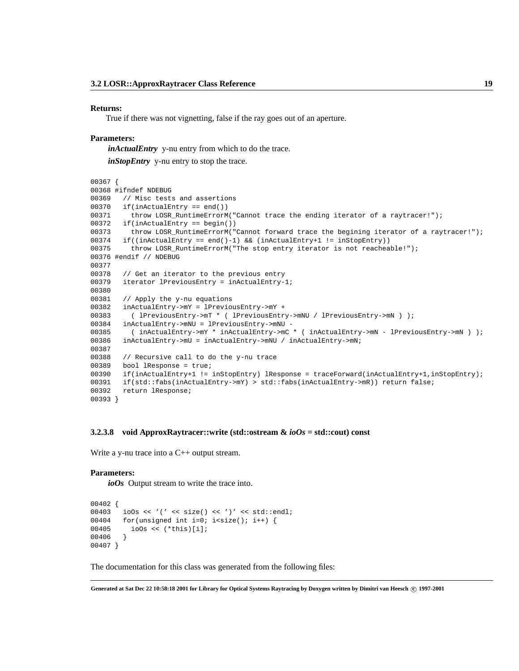#### **Returns:**

True if there was not vignetting, false if the ray goes out of an aperture.

# **Parameters:**

*inActualEntry* y-nu entry from which to do the trace.

*inStopEntry* y-nu entry to stop the trace.

```
00367 {
00368 #ifndef NDEBUG
00369 // Misc tests and assertions
00370 if(inActualEntry == end())
00371 throw LOSR_RuntimeErrorM("Cannot trace the ending iterator of a raytracer!");
00372 if(inActualEntry == begin())
00373 throw LOSR_RuntimeErrorM("Cannot forward trace the begining iterator of a raytracer!");
00374 if((inActualEntry == end()-1) && (inActualEntry+1 != inStopEntry))
00375 throw LOSR_RuntimeErrorM("The stop entry iterator is not reacheable!");
00376 #endif // NDEBUG
00377
00378 // Get an iterator to the previous entry
00379 iterator lPreviousEntry = inActualEntry-1;
00380
00381 // Apply the y-nu equations
00382 inActualEntry->mY = lPreviousEntry->mY +
00383 ( lPreviousEntry->mT * ( lPreviousEntry->mNU / lPreviousEntry->mN ) );
00384 inActualEntry->mNU = lPreviousEntry->mNU -
00385 ( inActualEntry->mY * inActualEntry->mC * ( inActualEntry->mN - lPreviousEntry->mN ) );
00386 inActualEntry->mU = inActualEntry->mNU / inActualEntry->mN;
00387
00388 // Recursive call to do the y-nu trace
00389 bool lResponse = true;
00390 if(inActualEntry+1 != inStopEntry) lResponse = traceForward(inActualEntry+1,inStopEntry);
00391 if(std::fabs(inActualEntry->mY) > std::fabs(inActualEntry->mR)) return false;
00392 return lResponse;
00393 }
```
#### <span id="page-22-0"></span>**3.2.3.8 void ApproxRaytracer::write (std::ostream &** *ioOs* **= std::cout) const**

Write a y-nu trace into a C<sup>++</sup> output stream.

#### **Parameters:**

*ioOs* Output stream to write the trace into.

```
00402 {
00403 ioOs << '(' << size() << ')' << std::endl;
00404 for(unsigned int i=0; i<size(); i++) {
00405 ioOs << (*this)[i];
00406 }
00407 }
```
The documentation for this class was generated from the following files:

**Generated at Sat Dec 22 10:58:18 2001 for Library for Optical Systems Raytracing by Doxygen written by Dimitri van Heesch c 1997-2001**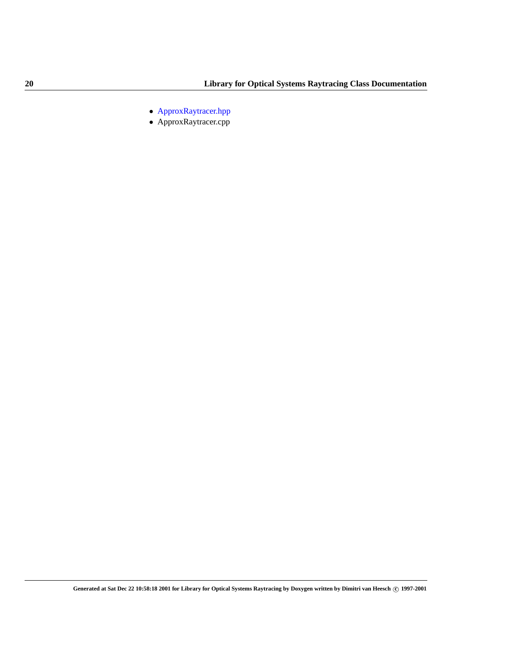- ApproxRaytracer.hpp
- ApproxRaytracer.cpp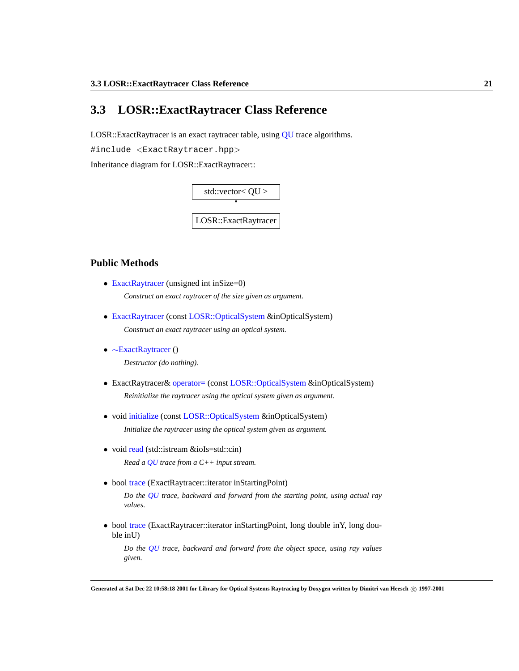# <span id="page-24-0"></span>**3.3 LOSR::ExactRaytracer Class Reference**

LOSR::ExactRaytracer is an exact raytracer table, using [QU](#page-39-0) trace algorithms.

#include <ExactRaytracer.hpp>

Inheritance diagram for LOSR::ExactRaytracer::



# **Public Methods**

- [ExactRaytracer](#page-25-0) (unsigned int inSize=0) *Construct an exact raytracer of the size given as argument.*
- [ExactRaytracer](#page-25-1) (const [LOSR::OpticalSystem](#page-33-0) &inOpticalSystem) *Construct an exact raytracer using an optical system.*
- <span id="page-24-1"></span>• ∼[ExactRaytracer](#page-24-1) () *Destructor (do nothing).*
- ExactRaytracer& [operator=](#page-26-0) (const [LOSR::OpticalSystem](#page-33-0) &inOpticalSystem) *Reinitialize the raytracer using the optical system given as argument.*
- void [initialize](#page-26-1) (const [LOSR::OpticalSystem](#page-33-0) &inOpticalSystem)

*Initialize the raytracer using the optical system given as argument.*

- void [read](#page-26-2) (std::istream &ioIs=std::cin) *Read a [QU](#page-39-0) trace from a C++ input stream.*
- bool [trace](#page-28-0) (ExactRaytracer::iterator inStartingPoint)

*Do the [QU](#page-39-0) trace, backward and forward from the starting point, using actual ray values.*

• bool [trace](#page-27-0) (ExactRaytracer::iterator inStartingPoint, long double inY, long double inU)

*Do the [QU](#page-39-0) trace, backward and forward from the object space, using ray values given.*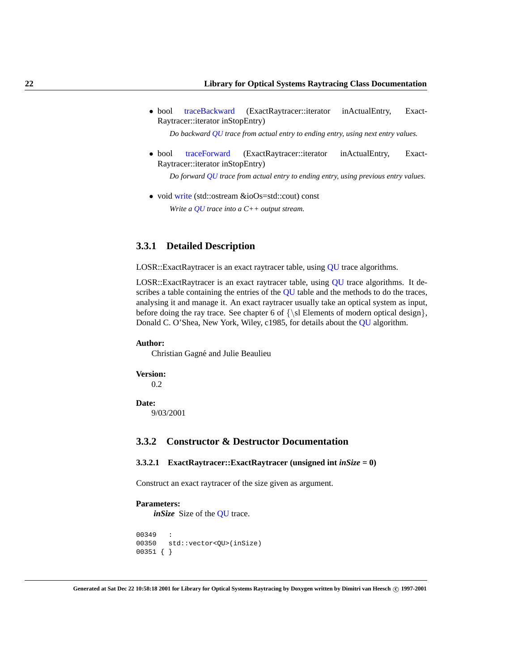• bool [traceBackward](#page-29-0) (ExactRaytracer::iterator inActualEntry, Exact-Raytracer::iterator inStopEntry)

*Do backward [QU](#page-39-0) trace from actual entry to ending entry, using next entry values.*

• bool [traceForward](#page-30-0) (ExactRaytracer::iterator inActualEntry, Exact-Raytracer::iterator inStopEntry)

*Do forward [QU](#page-39-0) trace from actual entry to ending entry, using previous entry values.*

• void [write](#page-32-0) (std::ostream &ioOs=std::cout) const *Write a [QU](#page-39-0) trace into a C++ output stream.*

# **3.3.1 Detailed Description**

LOSR::ExactRaytracer is an exact raytracer table, using [QU](#page-39-0) trace algorithms.

LOSR::ExactRaytracer is an exact raytracer table, using [QU](#page-39-0) trace algorithms. It de-scribes a table containing the entries of the [QU](#page-39-0) table and the methods to do the traces, analysing it and manage it. An exact raytracer usually take an optical system as input, before doing the ray trace. See chapter 6 of  $\{\s\}$  Elements of modern optical design $\},$ Donald C. O'Shea, New York, Wiley, c1985, for details about the [QU](#page-39-0) algorithm.

# **Author:**

Christian Gagné and Julie Beaulieu

**Version:**

0.2

#### **Date:**

9/03/2001

# **3.3.2 Constructor & Destructor Documentation**

#### <span id="page-25-0"></span>**3.3.2.1 ExactRaytracer::ExactRaytracer (unsigned int** *inSize* **= 0)**

Construct an exact raytracer of the size given as argument.

# **Parameters:**

*inSize* Size of the **[QU](#page-39-0)** trace.

```
00349 :
00350 std::vector<QU>(inSize)
00351 { }
```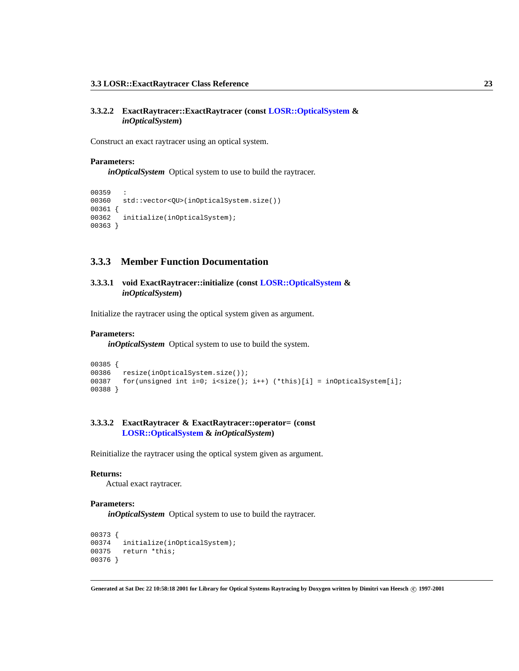# **3.3.2.2 ExactRaytracer::ExactRaytracer (const [LOSR::OpticalSystem](#page-33-0) &** *inOpticalSystem***)**

Construct an exact raytracer using an optical system.

# **Parameters:**

*inOpticalSystem* Optical system to use to build the raytracer.

```
00359 :
00360 std::vector<QU>(inOpticalSystem.size())
00361 {
00362 initialize(inOpticalSystem);
00363 }
```
# **3.3.3 Member Function Documentation**

# <span id="page-26-1"></span>**3.3.3.1 void ExactRaytracer::initialize (const [LOSR::OpticalSystem](#page-33-0) &** *inOpticalSystem***)**

Initialize the raytracer using the optical system given as argument.

# **Parameters:**

*inOpticalSystem* Optical system to use to build the system.

```
00385 {
00386 resize(inOpticalSystem.size());
00387 for(unsigned int i=0; i<size(); i++) (*this)[i] = inOpticalSystem[i];
00388 }
```
# <span id="page-26-0"></span>**3.3.3.2 ExactRaytracer & ExactRaytracer::operator= (const [LOSR::OpticalSystem](#page-33-0) &** *inOpticalSystem***)**

Reinitialize the raytracer using the optical system given as argument.

#### **Returns:**

Actual exact raytracer.

# **Parameters:**

*inOpticalSystem* Optical system to use to build the raytracer.

```
00373 {
00374 initialize(inOpticalSystem);
00375 return *this;
00376 }
```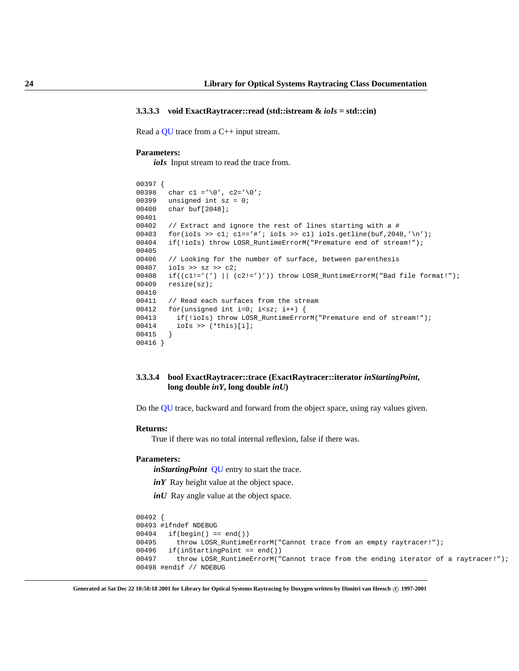#### **3.3.3.3 void ExactRaytracer::read (std::istream &** *ioIs* **= std::cin)**

Read a [QU](#page-39-0) trace from a C++ input stream.

#### **Parameters:**

*ioIs* Input stream to read the trace from.

```
00397 {
00398 char c1 ='\0', c2='\0';
00399 unsigned int sz = 0;
00400 char buf[2048];
00401
00402 // Extract and ignore the rest of lines starting with a #
00403 for(ioIs >> cl; cl=='#'; ioIs >> cl) ioIs.getline(buf, 2048,'\n');
00404 if(!ioIs) throw LOSR_RuntimeErrorM("Premature end of stream!");
00405
00406 // Looking for the number of surface, between parenthesis
00407 ioIs >> sz >> c2;
00408 if((c1!='(') || (c2!=')')) throw LOSR_RuntimeErrorM("Bad file format!");
00409 resize(sz);
00410
00411 // Read each surfaces from the stream
00412 for(unsigned int i=0; i<sz; i++) {
00413 if(!ioIs) throw LOSR_RuntimeErrorM("Premature end of stream!");
00414 ioIs >> (*this)[i];
00415 }
00416 }
```
# <span id="page-27-0"></span>**3.3.3.4 bool ExactRaytracer::trace (ExactRaytracer::iterator** *inStartingPoint***, long double** *inY***, long double** *inU***)**

Do the [QU](#page-39-0) trace, backward and forward from the object space, using ray values given.

#### **Returns:**

True if there was no total internal reflexion, false if there was.

# **Parameters:**

*inStartingPoint* [QU](#page-39-0) entry to start the trace.

*inY* Ray height value at the object space.

*inU* Ray angle value at the object space.

```
00492 {
00493 #ifndef NDEBUG
00494 if(begin() == end())
00495 throw LOSR_RuntimeErrorM("Cannot trace from an empty raytracer!");
00496 if(inStartingPoint == end())
00497 throw LOSR_RuntimeErrorM("Cannot trace from the ending iterator of a raytracer!");
00498 #endif // NDEBUG
```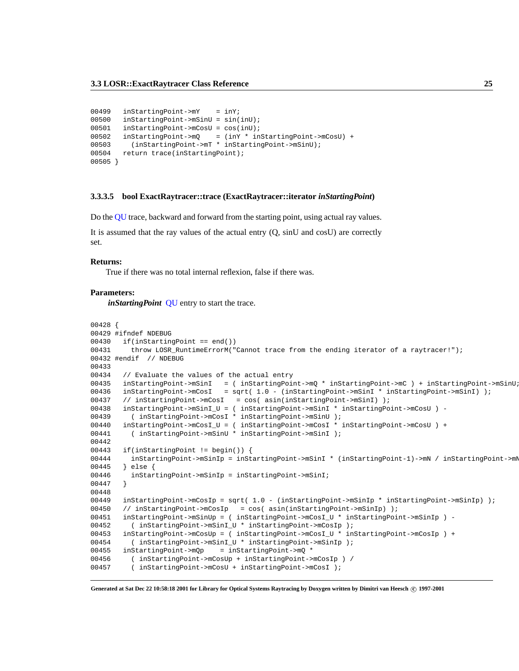```
00499 inStartingPoint->mY = inY;
00500 inStartingPoint->mSinU = sin(inU);
00501 inStartingPoint->mCosU = cos(inU);
00502 inStartingPoint->mQ = (inY * inStartingPoint->mCosU) +
00503 (inStartingPoint->mT * inStartingPoint->mSinU);
00504 return trace(inStartingPoint);
00505 }
```
#### <span id="page-28-0"></span>**3.3.3.5 bool ExactRaytracer::trace (ExactRaytracer::iterator** *inStartingPoint***)**

Do the [QU](#page-39-0) trace, backward and forward from the starting point, using actual ray values.

It is assumed that the ray values of the actual entry (Q, sinU and cosU) are correctly set.

#### **Returns:**

True if there was no total internal reflexion, false if there was.

#### **Parameters:**

*inStartingPoint* [QU](#page-39-0) entry to start the trace.

```
00428 {
00429 #ifndef NDEBUG
00430 if(inStartingPoint == end())
00431 throw LOSR_RuntimeErrorM("Cannot trace from the ending iterator of a raytracer!");
00432 #endif // NDEBUG
00433
00434 // Evaluate the values of the actual entry
00435 inStartingPoint->mSinI = ( inStartingPoint->mQ * inStartingPoint->mC ) + inStartingPoint->mSinU;
00436 inStartingPoint->mCosI = sqrt( 1.0 - (inStartingPoint->mSinI * inStartingPoint->mSinI) );
00437 // inStartingPoint->mCosI = cos( asin(inStartingPoint->mSinI) );
00438 inStartingPoint->mSinI_U = ( inStartingPoint->mSinI * inStartingPoint->mCosU ) -
00439 ( inStartingPoint->mCosI * inStartingPoint->mSinU );
00440 inStartingPoint->mCosI_U = ( inStartingPoint->mCosI * inStartingPoint->mCosU ) +
00441 ( inStartingPoint->mSinU * inStartingPoint->mSinI );
00442
00443 if(inStartingPoint != begin()) {
00444 inStartingPoint->mSinIp = inStartingPoint->mSinI * (inStartingPoint-1)->mN / inStartingPoint->mN;
00445 } else {
00446 inStartingPoint->mSinIp = inStartingPoint->mSinI;
00447 }
00448
00449 inStartingPoint->mCosIp = sqrt( 1.0 - (inStartingPoint->mSinIp * inStartingPoint->mSinIp) );
00450 // inStartingPoint->mCosIp = cos( asin(inStartingPoint->mSinIp) );
00451 inStartingPoint->mSinUp = ( inStartingPoint->mCosI_U * inStartingPoint->mSinIp ) -
00452 ( inStartingPoint->mSinI_U * inStartingPoint->mCosIp );
00453 inStartingPoint->mCosUp = ( inStartingPoint->mCosI_U * inStartingPoint->mCosIp ) +
00454 ( inStartingPoint->mSinI_U * inStartingPoint->mSinIp );
00455 inStartingPoint->mQp = inStartingPoint->mQ *
00456 ( inStartingPoint->mCosUp + inStartingPoint->mCosIp ) /
00457 ( inStartingPoint->mCosU + inStartingPoint->mCosI );
```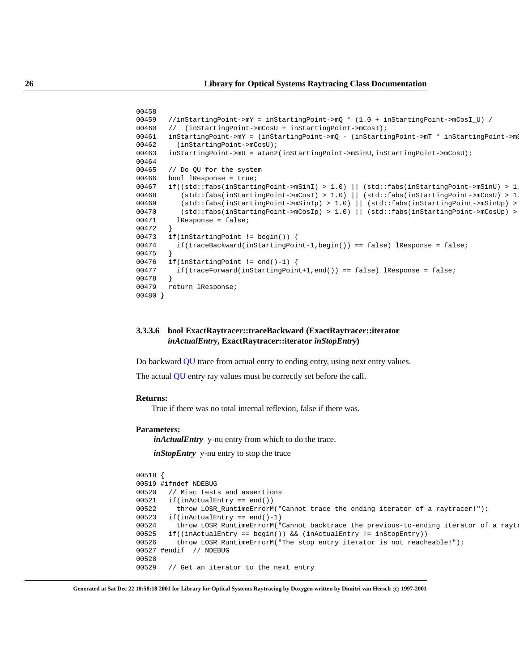```
00458
00459 //inStartingPoint->mY = inStartingPoint->mQ * (1.0 + inStartingPoint->mCosI_U) /
00460 // (inStartingPoint->mCosU + inStartingPoint->mCosI);
00461 inStartingPoint->mY = (inStartingPoint->mQ - (inStartingPoint->mT * inStartingPoint->m
00462 (inStartingPoint->mCosU);
00463 inStartingPoint->mU = atan2(inStartingPoint->mSinU,inStartingPoint->mCosU);
00464
00465 // Do QU for the system
00466 bool lResponse = true;
00467 if((std::fabs(inStartingPoint->mSinI) > 1.0) || (std::fabs(inStartingPoint->mSinU) > 1.0) ||
00468 (std::fabs(inStartingPoint->mCosI) > 1.0) | (std::fabs(inStartingPoint->mCosU) > 1
00469 (std::fabs(inStartingPoint->mSinIp) > 1.0) || (std::fabs(inStartingPoint->mSinUp) > 1.0) ||
00470 (std::fabs(inStartingPoint->mCosIp) > 1.0) || (std::fabs(inStartingPoint->mCosUp) > 1.0)) {
00471 lResponse = false;
00472 }
00473 if(inStartingPoint != begin()) {
00474 if(traceBackward(inStartingPoint-1,begin()) == false) lResponse = false;
00475 }
00476 if(inStartingPoint != end()-1) {
00477 if(traceForward(inStartingPoint+1,end()) == false) lResponse = false;
00478 }
00479 return lResponse;
00480 }
```
# <span id="page-29-0"></span>**3.3.3.6 bool ExactRaytracer::traceBackward (ExactRaytracer::iterator** *inActualEntry***, ExactRaytracer::iterator** *inStopEntry***)**

Do backward [QU](#page-39-0) trace from actual entry to ending entry, using next entry values.

The actual [QU](#page-39-0) entry ray values must be correctly set before the call.

# **Returns:**

True if there was no total internal reflexion, false if there was.

#### **Parameters:**

*inActualEntry* y-nu entry from which to do the trace.

*inStopEntry* y-nu entry to stop the trace

```
00518 {
00519 #ifndef NDEBUG
00520 // Misc tests and assertions
00521 if(inActualEntry == end())
00522 throw LOSR_RuntimeErrorM("Cannot trace the ending iterator of a raytracer!");
00523 if(inActualEntry == end() - 1)00524 throw LOSR_RuntimeErrorM("Cannot backtrace the previous-to-ending iterator of a rayt:
00525 if((inActualEntry == begin()) && (inActualEntry != inStopEntry))
00526 throw LOSR_RuntimeErrorM("The stop entry iterator is not reacheable!");
00527 #endif // NDEBUG
00528
00529 // Get an iterator to the next entry
```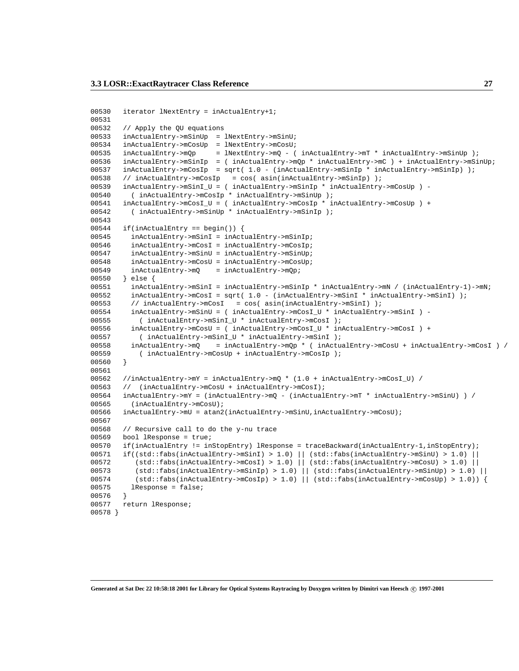```
00530 iterator lNextEntry = inActualEntry+1;
00531
00532 // Apply the QU equations
00533 inActualEntry->mSinUp = lNextEntry->mSinU;
00534 inActualEntry->mCosUp = lNextEntry->mCosU;
00535 inActualEntry->mQp = lNextEntry->mQ - ( inActualEntry->mT * inActualEntry->mSinUp );
00536 inActualEntry->mSinIp = ( inActualEntry->mQp * inActualEntry->mC ) + inActualEntry->mSinUp;
00537 inActualEntry->mCosIp = sqrt( 1.0 - (inActualEntry->mSinIp * inActualEntry->mSinIp) );
00538 // inActualEntry->mCosIp = cos( asin(inActualEntry->mSinIp) );
00539 inActualEntry->mSinI_U = ( inActualEntry->mSinIp * inActualEntry->mCosUp ) -
00540 ( inActualEntry->mCosIp * inActualEntry->mSinUp );
00541 inActualEntry->mCosI_U = ( inActualEntry->mCosIp * inActualEntry->mCosUp ) +
00542 ( inActualEntry->mSinUp * inActualEntry->mSinIp );
00543
00544 if(inActualEntry == begin()) {
00545 inActualEntry->mSinI = inActualEntry->mSinIp;
00546 inActualEntry->mCosI = inActualEntry->mCosIp;
00547 inActualEntry->mSinU = inActualEntry->mSinUp;
00548 inActualEntry->mCosU = inActualEntry->mCosUp;
00549 inActualEntry->mQ = inActualEntry->mQp;
00550 } else {
00551 inActualEntry->mSinI = inActualEntry->mSinIp * inActualEntry->mN / (inActualEntry-1)->mN;
00552 inActualEntry->mCosI = sqrt( 1.0 - (inActualEntry->mSinI * inActualEntry->mSinI) );
00553 // inActualEntry->mCosI = cos( asin(inActualEntry->mSinI) );
00554 inActualEntry->mSinU = ( inActualEntry->mCosI_U * inActualEntry->mSinI ) -
00555 ( inActualEntry->mSinI_U * inActualEntry->mCosI );
00556 inActualEntry->mCosU = ( inActualEntry->mCosI_U * inActualEntry->mCosI ) +
00557 ( inActualEntry->mSinI_U * inActualEntry->mSinI );
00558 inActualEntry->mQ = inActualEntry->mQp * ( inActualEntry->mCosU + inActualEntry->mCosI ) /
00559 ( inActualEntry->mCosUp + inActualEntry->mCosIp );
00560 }
00561
00562 //inActualEntry->mY = inActualEntry->mQ * (1.0 + inActualEntry->mCosI_U) /
00563 // (inActualEntry->mCosU + inActualEntry->mCosI);
00564 inActualEntry->mY = (inActualEntry->mQ - (inActualEntry->mT * inActualEntry->mSinU) ) /
00565 (inActualEntry->mCosU);
00566 inActualEntry->mU = atan2(inActualEntry->mSinU,inActualEntry->mCosU);
00567
00568 // Recursive call to do the y-nu trace
00569 bool lResponse = true;
00570 if(inActualEntry != inStopEntry) lResponse = traceBackward(inActualEntry-1,inStopEntry);
00571 if((std::fabs(inActualEntry->mSinI) > 1.0) || (std::fabs(inActualEntry->mSinU) > 1.0) ||
00572 (std::fabs(inActualEntry->mCosI) > 1.0) || (std::fabs(inActualEntry->mCosU) > 1.0) ||
00573 (std::fabs(inActualEntry->mSinIp) > 1.0) || (std::fabs(inActualEntry->mSinUp) > 1.0) ||
00574 (std::fabs(inActualEntry->mCosIp) > 1.0) || (std::fabs(inActualEntry->mCosUp) > 1.0)) {
00575 lResponse = false;
00576
00577 return lResponse;
00578 }
```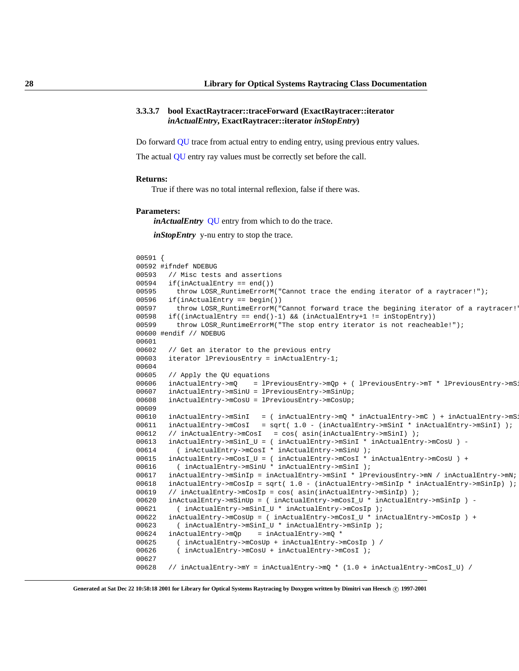# **3.3.3.7 bool ExactRaytracer::traceForward (ExactRaytracer::iterator** *inActualEntry***, ExactRaytracer::iterator** *inStopEntry***)**

Do forward [QU](#page-39-0) trace from actual entry to ending entry, using previous entry values.

The actual [QU](#page-39-0) entry ray values must be correctly set before the call.

#### **Returns:**

True if there was no total internal reflexion, false if there was.

#### **Parameters:**

*inActualEntry* [QU](#page-39-0) entry from which to do the trace.

*inStopEntry* y-nu entry to stop the trace.

```
00591 {
00592 #ifndef NDEBUG
00593 // Misc tests and assertions
00594 if(inActualEntry == end())
00595 throw LOSR RuntimeErrorM("Cannot trace the ending iterator of a raytracer!");
00596 if(inActualEntry == begin())
00597 throw LOSR_RuntimeErrorM("Cannot forward trace the begining iterator of a raytracer!
00598 if((inActualEntry == end()-1) && (inActualEntry+1 != inStopEntry))
00599 throw LOSR_RuntimeErrorM("The stop entry iterator is not reacheable!");
00600 #endif // NDEBUG
00601
00602 // Get an iterator to the previous entry
00603 iterator lPreviousEntry = inActualEntry-1;
00604
00605 // Apply the QU equations
00606 inActualEntry->mQ = lPreviousEntry->mQp + ( lPreviousEntry->mT * lPreviousEntry->mS
00607 inActualEntry->mSinU = lPreviousEntry->mSinUp;
00608 inActualEntry->mCosU = lPreviousEntry->mCosUp;
00609
00610 inActualEntry->mSinI = ( inActualEntry->mQ * inActualEntry->mC ) + inActualEntry->mS.
00611 inActualEntry->mCosI = sqrt( 1.0 - (inActualEntry->mSinI * inActualEntry->mSinI) );
00612 // inActualEntry->mCosI = cos( asin(inActualEntry->mSinI) );
00613 inActualEntry->mSinI_U = ( inActualEntry->mSinI * inActualEntry->mCosU ) -
00614 ( inActualEntry->mCosI * inActualEntry->mSinU );
00615 inActualEntry->mCosI_U = ( inActualEntry->mCosI * inActualEntry->mCosU ) +
00616 ( inActualEntry->mSinU * inActualEntry->mSinI );
00617 inActualEntry->mSinIp = inActualEntry->mSinI * lPreviousEntry->mN / inActualEntry->mN;
00618 inActualEntry->mCosIp = sqrt( 1.0 - (inActualEntry->mSinIp * inActualEntry->mSinIp) );
00619 // inActualEntry->mCosIp = cos( asin(inActualEntry->mSinIp) );
00620 inActualEntry->mSinUp = ( inActualEntry->mCosI_U * inActualEntry->mSinIp ) -
00621 ( inActualEntry->mSinI_U * inActualEntry->mCosIp );
00622 inActualEntry->mCosUp = ( inActualEntry->mCosI_U * inActualEntry->mCosIp ) +
00623 ( inActualEntry->mSinI_U * inActualEntry->mSinIp );
00624 inActualEntry->mQp = inActualEntry->mQ *
00625 ( inActualEntry->mCosUp + inActualEntry->mCosIp ) /
00626 ( inActualEntry->mCosU + inActualEntry->mCosI );
00627
00628 // inActualEntry->mY = inActualEntry->mQ * (1.0 + inActualEntry->mCosI_U) /
```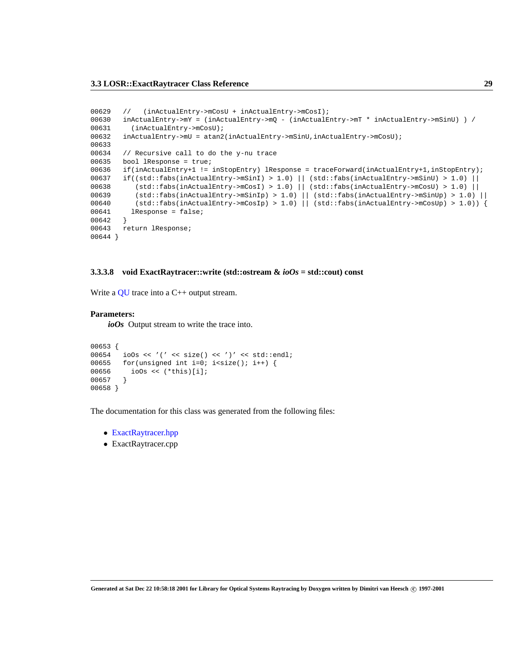```
00629 // (inActualEntry->mCosU + inActualEntry->mCosI);
00630 inActualEntry->mY = (inActualEntry->mQ - (inActualEntry->mT * inActualEntry->mSinU) ) /
00631 (inActualEntry->mCosU);
00632 inActualEntry->mU = atan2(inActualEntry->mSinU,inActualEntry->mCosU);
00633
00634 // Recursive call to do the y-nu trace
00635 bool lResponse = true;
00636 if(inActualEntry+1 != inStopEntry) lResponse = traceForward(inActualEntry+1,inStopEntry);
00637 if((std::fabs(inActualEntry->mSinI) > 1.0) || (std::fabs(inActualEntry->mSinU) > 1.0) ||
00638 (std::fabs(inActualEntry->mCosI) > 1.0) || (std::fabs(inActualEntry->mCosU) > 1.0) ||
00639 (std::fabs(inActualEntry->mSinIp) > 1.0) || (std::fabs(inActualEntry->mSinUp) > 1.0) ||
00640 (std::fabs(inActualEntry->mCosIp) > 1.0) || (std::fabs(inActualEntry->mCosUp) > 1.0)) {
00641 lResponse = false;
00642 }
00643 return lResponse;
00644 }
```
#### <span id="page-32-0"></span>**3.3.3.8 void ExactRaytracer::write (std::ostream &** *ioOs* **= std::cout) const**

Write a [QU](#page-39-0) trace into a C++ output stream.

#### **Parameters:**

*ioOs* Output stream to write the trace into.

```
00653 {
00654 ioOs << '(' << size() << ')' << std::endl;
00655 for(unsigned int i=0; i<size(); i++) {
00656 ioOs << (*this)[i];
00657 }
00658 }
```
The documentation for this class was generated from the following files:

- ExactRaytracer.hpp
- ExactRaytracer.cpp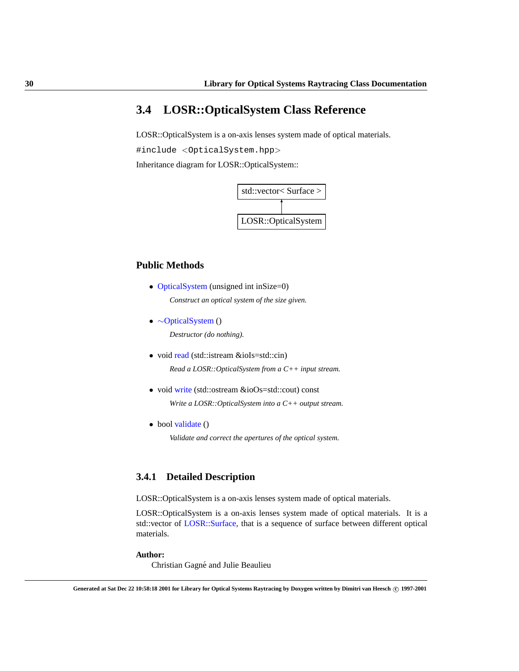# <span id="page-33-0"></span>**3.4 LOSR::OpticalSystem Class Reference**

LOSR::OpticalSystem is a on-axis lenses system made of optical materials.

#include <OpticalSystem.hpp>

Inheritance diagram for LOSR::OpticalSystem::



# **Public Methods**

- [OpticalSystem](#page-34-0) (unsigned int inSize=0) *Construct an optical system of the size given.*
- <span id="page-33-1"></span>• ∼[OpticalSystem](#page-33-1) ()

*Destructor (do nothing).*

- void [read](#page-34-1) (std::istream &ioIs=std::cin) *Read a LOSR::OpticalSystem from a C++ input stream.*
- void [write](#page-36-0) (std::ostream &ioOs=std::cout) const *Write a LOSR::OpticalSystem into a C++ output stream.*
- bool [validate](#page-35-0) ()

*Validate and correct the apertures of the optical system.*

# **3.4.1 Detailed Description**

LOSR::OpticalSystem is a on-axis lenses system made of optical materials.

LOSR::OpticalSystem is a on-axis lenses system made of optical materials. It is a std::vector of [LOSR::Surface,](#page-43-0) that is a sequence of surface between different optical materials.

# **Author:**

Christian Gagné and Julie Beaulieu

**Generated at Sat Dec 22 10:58:18 2001 for Library for Optical Systems Raytracing by Doxygen written by Dimitri van Heesch c 1997-2001**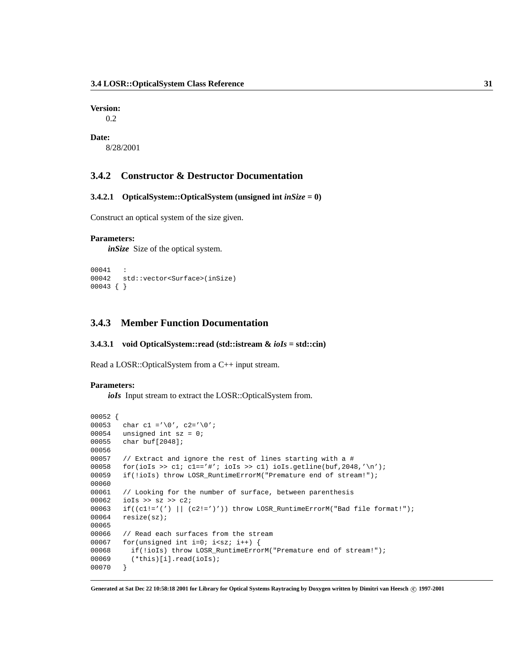**Version:**

0.2

**Date:**

8/28/2001

# **3.4.2 Constructor & Destructor Documentation**

# <span id="page-34-0"></span>**3.4.2.1 OpticalSystem::OpticalSystem (unsigned int** *inSize* **= 0)**

Construct an optical system of the size given.

# **Parameters:**

*inSize* Size of the optical system.

```
00041 :
00042 std::vector<Surface>(inSize)
00043 { }
```
# **3.4.3 Member Function Documentation**

# <span id="page-34-1"></span>**3.4.3.1 void OpticalSystem::read (std::istream &** *ioIs* **= std::cin)**

Read a LOSR::OpticalSystem from a C++ input stream.

# **Parameters:**

*ioIs* Input stream to extract the LOSR::OpticalSystem from.

```
00052 {
00053 char c1 ='\0', c2='\0';
00054 unsigned int sz = 0;
00055 char buf[2048];
00056
00057 // Extract and ignore the rest of lines starting with a #
00058 for(ioIs >> cl; cl=='#'; ioIs >> cl) ioIs.getline(buf, 2048, '\n');
00059 if(!ioIs) throw LOSR_RuntimeErrorM("Premature end of stream!");
00060
00061 // Looking for the number of surface, between parenthesis
00062 ioIs >> sz >> c2;
00063 if((c1!='(') || (c2!=')')) throw LOSR_RuntimeErrorM("Bad file format!");
00064 resize(sz);
00065
00066 // Read each surfaces from the stream
00067 for(unsigned int i=0; i<sz; i++) {
00068 if(!ioIs) throw LOSR_RuntimeErrorM("Premature end of stream!");
00069 (*this)[i].read(ioIs);
00070 }
```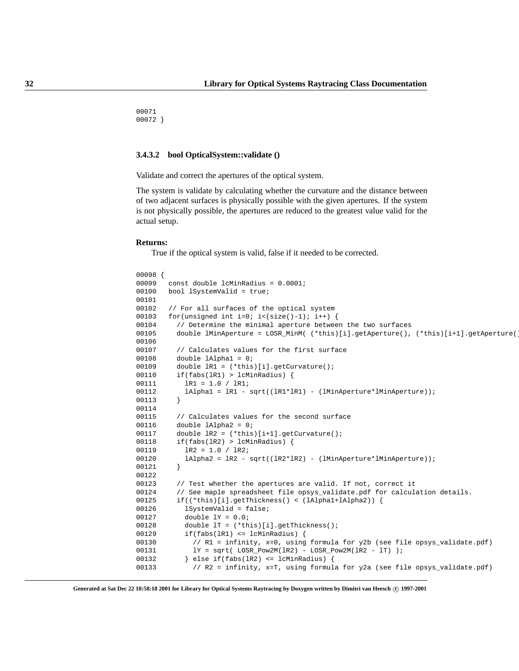00071 00072 }

# <span id="page-35-0"></span>**3.4.3.2 bool OpticalSystem::validate ()**

Validate and correct the apertures of the optical system.

The system is validate by calculating whether the curvature and the distance between of two adjacent surfaces is physically possible with the given apertures. If the system is not physically possible, the apertures are reduced to the greatest value valid for the actual setup.

#### **Returns:**

True if the optical system is valid, false if it needed to be corrected.

```
00098 {
00099 const double lcMinRadius = 0.0001;
00100 bool lSystemValid = true;
00101
00102 // For all surfaces of the optical system
00103 for(unsigned int i=0; i<(size()-1); i++) {
00104 // Determine the minimal aperture between the two surfaces
00105 double lMinAperture = LOSR_MinM( (*this)[i].getAperture(), (*this)[i+1].getAperture(
00106
00107 // Calculates values for the first surface
00108 double lAlpha1 = 0;
00109 double lR1 = (*this)[i].getCurvature();
00110 if(fabs(lR1) > lcMinRadius) {
00111 1R1 = 1.0 / 1R1;
00112 lAlpha1 = lR1 - sqrt((lR1*lR1) - (lMinAperture*lMinAperture));
00113 }
00114
00115 // Calculates values for the second surface
00116 double lAlpha2 = 0;
00117 double lR2 = (*this)[i+1].getCurvature();
00118 if(fabs(lR2) > lcMinRadius) {
00119 1R2 = 1.0 / 1R2;
00120 lAlpha2 = \text{IR2 - sqrt}(\text{IR2*lR2}) - (\text{lMinAperture*lmApperture*});
00121 }
00122
00123 // Test whether the apertures are valid. If not, correct it
00124 // See maple spreadsheet file opsys_validate.pdf for calculation details.
00125 if((*this)[i].getThickness() < (lAlpha1+lAlpha2)) {
00126 lSystemValid = false;
00127 double lY = 0.0;
00128 double lT = (*this)[i].getThickness();
00129 if(fabs(lR1) <= lcMinRadius) {
00130 // R1 = infinity, x=0, using formula for y2b (see file opsys_validate.pdf)
00131 lY = sqrt( LOSR_Pow2M(lR2) - LOSR_Pow2M(lR2 - lT) );
00132 } else if(fabs(lR2) <= lcMinRadius) {
00133 // R2 = infinity, x=T, using formula for y2a (see file opsys_validate.pdf)
```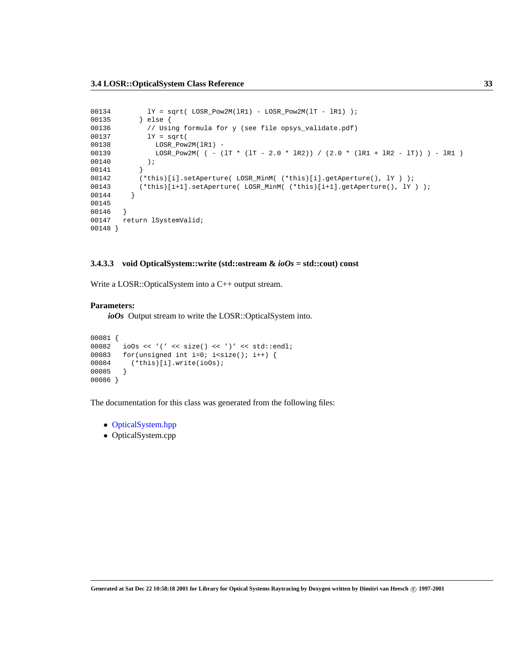```
00134 lY = sqrt( LOSR_Pow2M(1R1) - LOSR_Pow2M(1T - IR1) );
00135 } else {
00136 // Using formula for y (see file opsys_validate.pdf)
00137 lY = sqrt(
00138 LOSR_Pow2M(lR1) -
00139 LOSR_Pow2M( ( - (lT * (lT - 2.0 * lR2)) / (2.0 * (lR1 + lR2 - lT)) ) - lR1 )
00140 );
00141 }
00142 (*this)[i].setAperture( LOSR_MinM( (*this)[i].getAperture(), lY ) );
00143 (*this)[i+1].setAperture( LOSR_MinM( (*this)[i+1].getAperture(), lY ) );
00144 }
00145
00146 }
00147 return lSystemValid;
00148 }
```
## <span id="page-36-0"></span>**3.4.3.3 void OpticalSystem::write (std::ostream &** *ioOs* **= std::cout) const**

Write a LOSR::OpticalSystem into a C++ output stream.

#### **Parameters:**

*ioOs* Output stream to write the LOSR::OpticalSystem into.

```
00081 {
00082 ioOs << '(' << size() << ')' << std::endl;
00083 for(unsigned int i=0; i<size(); i++) {<br>00084 (*this)[i].write(ioOs);
            (\text{*this})[i].write(ioOs);
00085 }
00086 }
```
The documentation for this class was generated from the following files:

- OpticalSystem.hpp
- OpticalSystem.cpp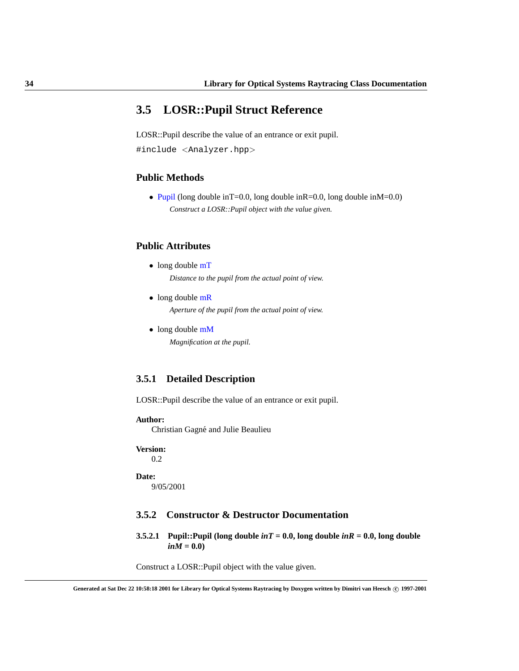# <span id="page-37-0"></span>**3.5 LOSR::Pupil Struct Reference**

LOSR::Pupil describe the value of an entrance or exit pupil. #include <Analyzer.hpp>

# **Public Methods**

• [Pupil](#page-37-1) (long double in T=0.0, long double in R=0.0, long double in  $M=0.0$ ) *Construct a LOSR::Pupil object with the value given.*

# <span id="page-37-2"></span>**Public Attributes**

- long double  $mT$ *Distance to the pupil from the actual point of view.*
- <span id="page-37-3"></span>• long double [mR](#page-37-3) *Aperture of the pupil from the actual point of view.*
- <span id="page-37-4"></span>• long double [mM](#page-37-4) *Magnification at the pupil.*

# **3.5.1 Detailed Description**

LOSR::Pupil describe the value of an entrance or exit pupil.

**Author:**

Christian Gagné and Julie Beaulieu

**Version:** 0.2

**Date:** 9/05/2001

# **3.5.2 Constructor & Destructor Documentation**

<span id="page-37-1"></span>**3.5.2.1** Pupil::Pupil (long double  $inT = 0.0$ , long double  $inR = 0.0$ , long double  $inM = 0.0$ 

Construct a LOSR::Pupil object with the value given.

**Generated at Sat Dec 22 10:58:18 2001 for Library for Optical Systems Raytracing by Doxygen written by Dimitri van Heesch c 1997-2001**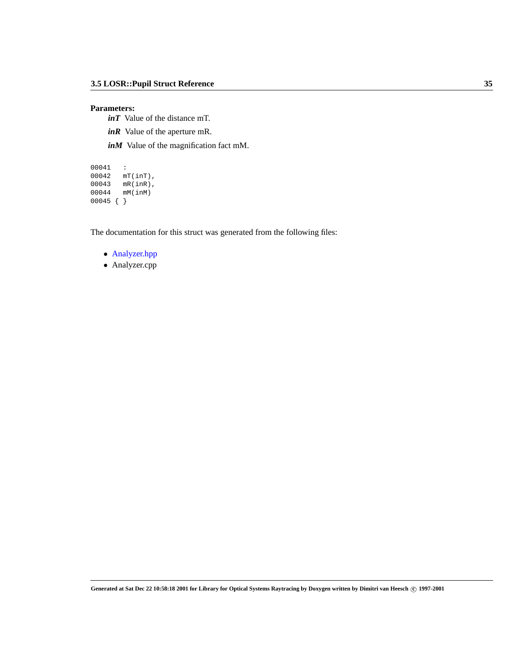# **Parameters:**

*inT* Value of the distance mT.

*inR* Value of the aperture mR.

*inM* Value of the magnification fact mM.

```
00041 :
00042 mT(inT),
00043 mR(inR),
00044 mM(inM)
00045 { }
```
The documentation for this struct was generated from the following files:

- Analyzer.hpp
- Analyzer.cpp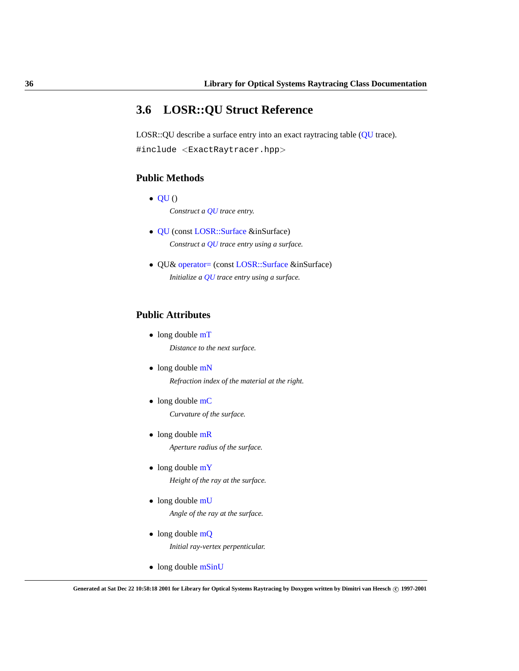# <span id="page-39-0"></span>**3.6 LOSR::QU Struct Reference**

LOSR::QU describe a surface entry into an exact raytracing table [\(QU](#page-39-0) trace). #include <ExactRaytracer.hpp>

# <span id="page-39-1"></span>**Public Methods**

- $\bullet$  [QU](#page-39-1)() *Construct a [QU](#page-39-0) trace entry.*
- [QU](#page-41-0) (const [LOSR::Surface](#page-43-0) &inSurface) *Construct a [QU](#page-39-0) trace entry using a surface.*
- QU& [operator=](#page-41-1) (const [LOSR::Surface](#page-43-0) &inSurface) *Initialize a [QU](#page-39-0) trace entry using a surface.*

# **Public Attributes**

- <span id="page-39-2"></span>• long double [mT](#page-39-2) *Distance to the next surface.*
- <span id="page-39-3"></span>• long double [mN](#page-39-3) *Refraction index of the material at the right.*
- <span id="page-39-4"></span>• long double [mC](#page-39-4) *Curvature of the surface.*
- <span id="page-39-5"></span>• long double [mR](#page-39-5) *Aperture radius of the surface.*
- <span id="page-39-6"></span>• long double [mY](#page-39-6) *Height of the ray at the surface.*
- <span id="page-39-7"></span>• long double [mU](#page-39-7) *Angle of the ray at the surface.*
- <span id="page-39-8"></span>• long double [mQ](#page-39-8) *Initial ray-vertex perpenticular.*
- <span id="page-39-9"></span>• long double [mSinU](#page-39-9)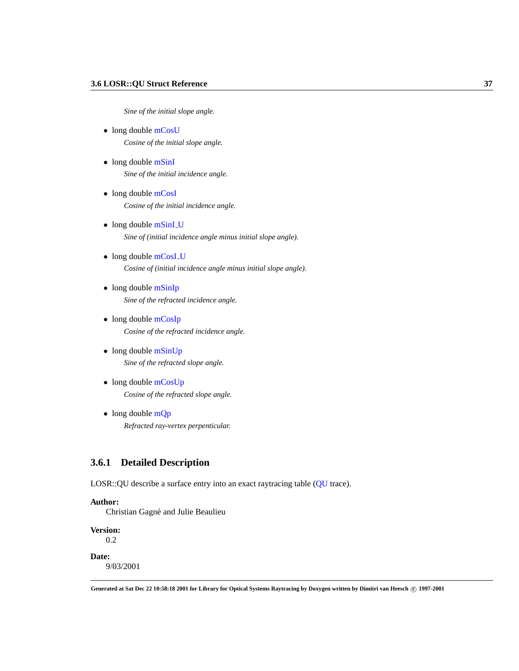*Sine of the initial slope angle.*

- <span id="page-40-0"></span>• long double [mCosU](#page-40-0) *Cosine of the initial slope angle.*
- <span id="page-40-1"></span>• long double [mSinI](#page-40-1) *Sine of the initial incidence angle.*
- <span id="page-40-2"></span>• long double [mCosI](#page-40-2) *Cosine of the initial incidence angle.*
- <span id="page-40-3"></span>• long double [mSinI](#page-40-3)\_U *Sine of (initial incidence angle minus initial slope angle).*
- <span id="page-40-4"></span>• long double [mCosI](#page-40-4)<sub>-U</sub> *Cosine of (initial incidence angle minus initial slope angle).*
- <span id="page-40-5"></span>• long double [mSinIp](#page-40-5) *Sine of the refracted incidence angle.*
- <span id="page-40-6"></span>• long double [mCosIp](#page-40-6) *Cosine of the refracted incidence angle.*
- <span id="page-40-7"></span>• long double [mSinUp](#page-40-7) *Sine of the refracted slope angle.*
- <span id="page-40-8"></span>• long double [mCosUp](#page-40-8) *Cosine of the refracted slope angle.*
- <span id="page-40-9"></span> $\bullet$  long double [mQp](#page-40-9) *Refracted ray-vertex perpenticular.*

# **3.6.1 Detailed Description**

LOSR::QU describe a surface entry into an exact raytracing table ([QU](#page-39-0) trace).

# **Author:**

Christian Gagné and Julie Beaulieu

**Version:**

0.2

# **Date:**

9/03/2001

**Generated at Sat Dec 22 10:58:18 2001 for Library for Optical Systems Raytracing by Doxygen written by Dimitri van Heesch c 1997-2001**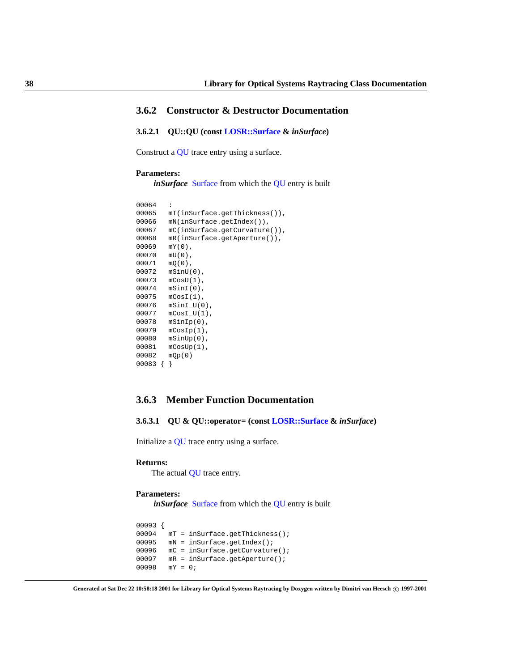# **3.6.2 Constructor & Destructor Documentation**

<span id="page-41-0"></span>**3.6.2.1 QU::QU (const [LOSR::Surface](#page-43-0) &** *inSurface***)**

Construct a [QU](#page-39-0) trace entry using a surface.

# **Parameters:**

*in[Surface](#page-43-0)* Surface from which the [QU](#page-39-0) entry is built

```
00064 :
00065 mT(inSurface.getThickness()),
00066 mN(inSurface.getIndex()),
00067 mC(inSurface.getCurvature()),
00068 mR(inSurface.getAperture()),
00069 mY(0),
00070 mU(0),
00071 mQ(0),
00072 mSinU(0),
00073 mCosU(1),
00074 mSinI(0),
00075 mCosI(1),
00076 mSinI_U(0),
00077 mCosI_U(1),
00078 mSinIp(0),
00079 mCosIp(1),
00080 mSinUp(0),
00081 mCosUp(1),
00082 mQp(0)
00083 { }
```
# **3.6.3 Member Function Documentation**

<span id="page-41-1"></span>**3.6.3.1 QU & QU::operator= (const [LOSR::Surface](#page-43-0) &** *inSurface***)**

Initialize a [QU](#page-39-0) trace entry using a surface.

#### **Returns:**

The actual [QU](#page-39-0) trace entry.

# **Parameters:**

*in[Surface](#page-43-0)* Surface from which the [QU](#page-39-0) entry is built

```
00093 {
00094 mT = inSurface.getThickness();
00095 mN = inSurface.getIndex();
00096 mC = inSurface.getCurvature();
00097 mR = inSurface.getAperture();
00098 mY = 0;
```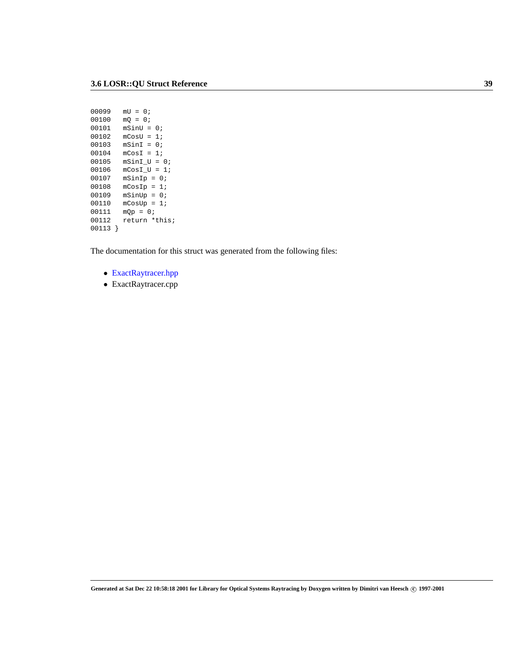```
00099 mU = 0;
00100 mQ = 0;00101 mSinU = 0;
00102 mCosU = 1;
00103 mSinI = 0;
00104 mCost = 1;<br>00105 mSinI_U =msinI_U = 0;00106 mCosI_U = 1;
00107 mSinIp = 0;
00108 m \text{CosIp} = 1;
00109 msinUp = 0;00110 mCosUp = 1;
00111 mQp = 0;<br>00112 return *t
       return *this;
00113 }
```
The documentation for this struct was generated from the following files:

- ExactRaytracer.hpp
- ExactRaytracer.cpp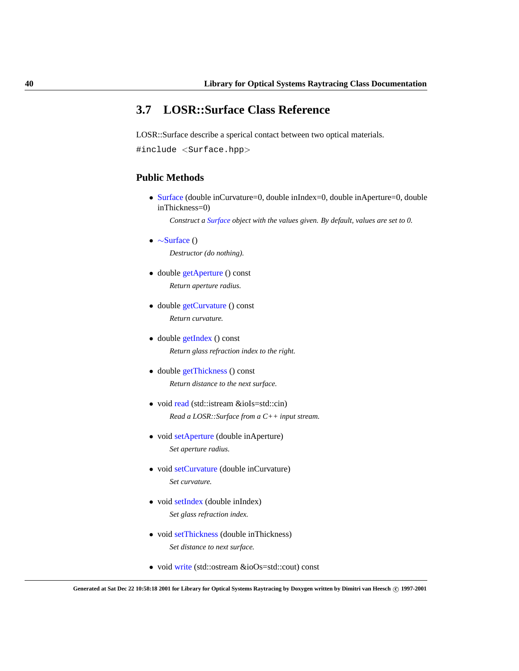# <span id="page-43-0"></span>**3.7 LOSR::Surface Class Reference**

LOSR::Surface describe a sperical contact between two optical materials. #include <Surface.hpp>

# **Public Methods**

• [Surface](#page-44-0) (double inCurvature=0, double inIndex=0, double inAperture=0, double inThickness=0)

*Construct a [Surface](#page-43-0) object with the values given. By default, values are set to 0.*

<span id="page-43-1"></span>• ∼[Surface](#page-43-1) ()

*Destructor (do nothing).*

- <span id="page-43-2"></span>• double [getAperture](#page-43-2) () const *Return aperture radius.*
- <span id="page-43-3"></span>• double [getCurvature](#page-43-3) () const *Return curvature.*
- <span id="page-43-4"></span>• double [getIndex](#page-43-4) () const *Return glass refraction index to the right.*
- <span id="page-43-5"></span>• double [getThickness](#page-43-5) () const *Return distance to the next surface.*
- void [read](#page-45-0) (std::istream &ioIs=std::cin) *Read a LOSR::Surface from a C++ input stream.*
- <span id="page-43-6"></span>• void [setAperture](#page-43-6) (double inAperture) *Set aperture radius.*
- <span id="page-43-7"></span>• void [setCurvature](#page-43-7) (double inCurvature) *Set curvature.*
- <span id="page-43-8"></span>• void [setIndex](#page-43-8) (double inIndex) *Set glass refraction index.*
- <span id="page-43-9"></span>• void [setThickness](#page-43-9) (double inThickness) *Set distance to next surface.*
- void [write](#page-46-0) (std::ostream &ioOs=std::cout) const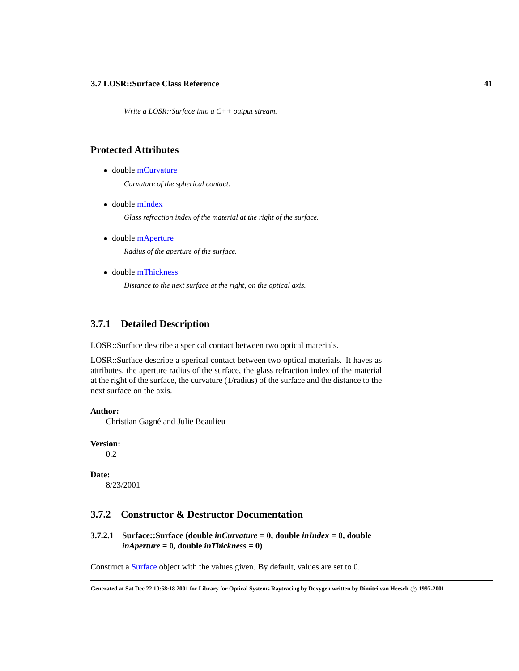*Write a LOSR::Surface into a C++ output stream.*

# <span id="page-44-1"></span>**Protected Attributes**

• double [mCurvature](#page-44-1)

*Curvature of the spherical contact.*

<span id="page-44-2"></span>• double [mIndex](#page-44-2)

*Glass refraction index of the material at the right of the surface.*

<span id="page-44-3"></span>• double [mAperture](#page-44-3)

*Radius of the aperture of the surface.*

<span id="page-44-4"></span>• double [mThickness](#page-44-4)

*Distance to the next surface at the right, on the optical axis.*

# **3.7.1 Detailed Description**

LOSR::Surface describe a sperical contact between two optical materials.

LOSR::Surface describe a sperical contact between two optical materials. It haves as attributes, the aperture radius of the surface, the glass refraction index of the material at the right of the surface, the curvature (1/radius) of the surface and the distance to the next surface on the axis.

# **Author:**

Christian Gagné and Julie Beaulieu

**Version:**

0.2

# **Date:**

8/23/2001

# **3.7.2 Constructor & Destructor Documentation**

<span id="page-44-0"></span>**3.7.2.1 Surface::Surface (double** *inCurvature* **= 0, double** *inIndex* **= 0, double** *inAperture* **= 0, double** *inThickness* **= 0)**

Construct a [Surface](#page-43-0) object with the values given. By default, values are set to 0.

**Generated at Sat Dec 22 10:58:18 2001 for Library for Optical Systems Raytracing by Doxygen written by Dimitri van Heesch c 1997-2001**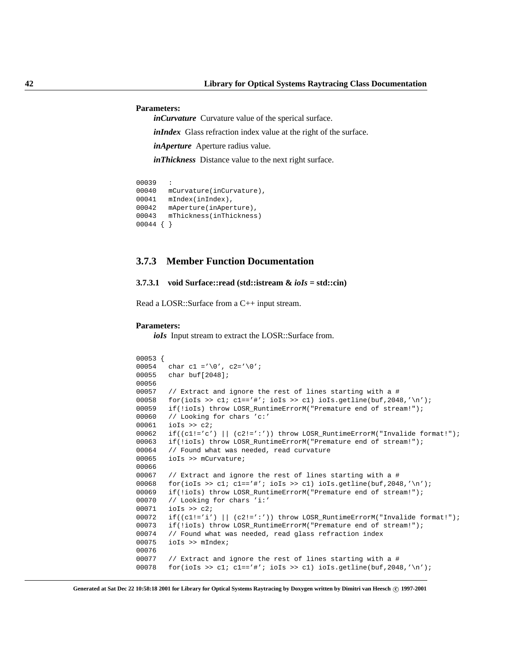#### **Parameters:**

*inCurvature* Curvature value of the sperical surface.

*inIndex* Glass refraction index value at the right of the surface.

*inAperture* Aperture radius value.

*inThickness* Distance value to the next right surface.

```
00039 :
00040 mCurvature(inCurvature),
00041 mIndex(inIndex),
00042 mAperture(inAperture),
00043 mThickness(inThickness)
00044 { }
```
# **3.7.3 Member Function Documentation**

# <span id="page-45-0"></span>**3.7.3.1 void Surface::read (std::istream &** *ioIs* **= std::cin)**

Read a LOSR::Surface from a C++ input stream.

### **Parameters:**

*ioIs* Input stream to extract the LOSR::Surface from.

```
00053 {
00054 char c1 ='\0', c2='\0';
00055 char buf[2048];
00056
00057 // Extract and ignore the rest of lines starting with a #
00058 for(ioIs >> cl; cl=='#'; ioIs >> cl) ioIs.getline(buf, 2048,'\n');
00059 if(!ioIs) throw LOSR_RuntimeErrorM("Premature end of stream!");
00060 // Looking for chars 'c:'
00061 ioIs >> c2;
00062 if((c1!='c') || (c2!=':')) throw LOSR_RuntimeErrorM("Invalide format!");
00063 if(!ioIs) throw LOSR_RuntimeErrorM("Premature end of stream!");
00064 // Found what was needed, read curvature
00065 ioIs >> mCurvature;
00066
00067 // Extract and ignore the rest of lines starting with a #
00068 for(ioIs >> cl; cl=='#'; ioIs >> cl) ioIs.getline(buf, 2048,'\n');
00069 if(!ioIs) throw LOSR_RuntimeErrorM("Premature end of stream!");
00070 // Looking for chars 'i:'
00071 ioIs >> c2;
00072 if((c1!='i') || (c2!=':')) throw LOSR_RuntimeErrorM("Invalide format!");
00073 if(!ioIs) throw LOSR_RuntimeErrorM("Premature end of stream!");
00074 // Found what was needed, read glass refraction index
00075 ioIs >> mIndex;
00076
00077 // Extract and ignore the rest of lines starting with a #
00078 for(ioIs >> cl; cl=='#'; ioIs >> cl) ioIs.getline(buf, 2048,'\n');
```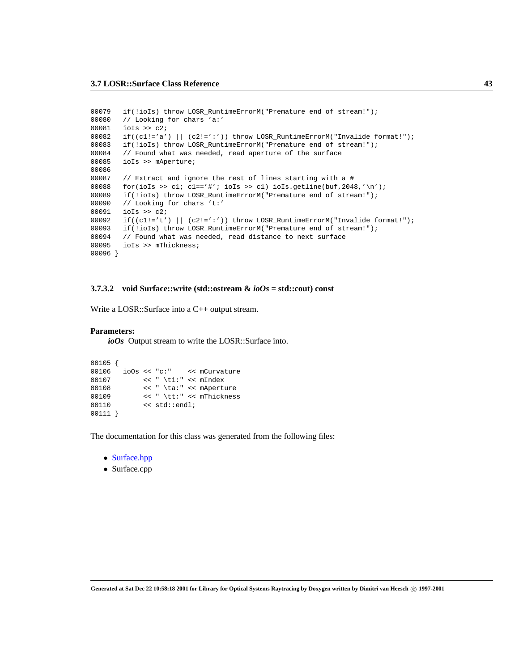```
00079 if(!ioIs) throw LOSR_RuntimeErrorM("Premature end of stream!");
00080 // Looking for chars 'a:'
00081 ioIs >> c2;
00082 if((c1!='a') || (c2!=':')) throw LOSR_RuntimeErrorM("Invalide format!");
00083 if(!ioIs) throw LOSR_RuntimeErrorM("Premature end of stream!");
00084 // Found what was needed, read aperture of the surface
00085 ioIs >> mAperture;
00086
00087 // Extract and ignore the rest of lines starting with a #
00088 for(ioIs >> cl; cl=='#'; ioIs >> cl) ioIs.getline(buf, 2048,'\n');
00089 if(!ioIs) throw LOSR RuntimeErrorM("Premature end of stream!");
00090 // Looking for chars 't:'
00091 ioIs >> c2;
00092 if((c1!='t') || (c2!=':')) throw LOSR_RuntimeErrorM("Invalide format!");
00093 if(!ioIs) throw LOSR_RuntimeErrorM("Premature end of stream!");
00094 // Found what was needed, read distance to next surface
00095 ioIs >> mThickness;
00096 }
```
# <span id="page-46-0"></span>**3.7.3.2 void Surface::write (std::ostream &** *ioOs* **= std::cout) const**

Write a LOSR::Surface into a C++ output stream.

#### **Parameters:**

*ioOs* Output stream to write the LOSR::Surface into.

```
00105 {
00106 ioOs << "c:" << mCurvature
00107 << " \ti:" << mIndex
00108 << " \ta:" << mAperture
00109 << " \tt:" << mThickness
00110 << std::endl;
00111 }
```
The documentation for this class was generated from the following files:

- Surface.hpp
- Surface.cpp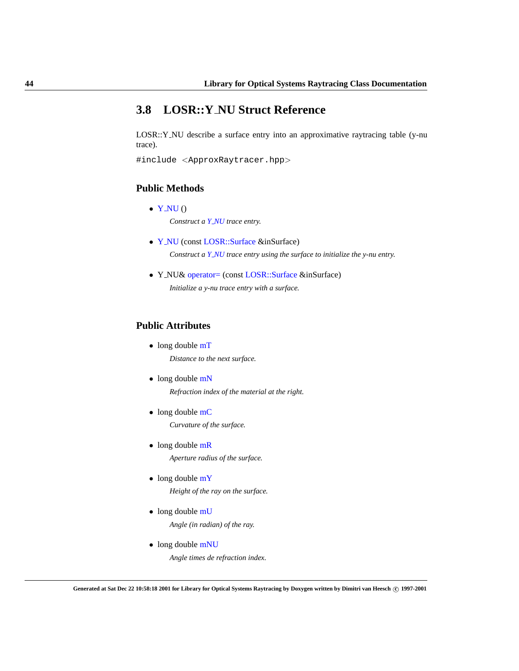# <span id="page-47-0"></span>**3.8 LOSR::Y NU Struct Reference**

LOSR::Y NU describe a surface entry into an approximative raytracing table (y-nu trace).

#include <ApproxRaytracer.hpp>

# <span id="page-47-1"></span>**Public Methods**

- $\bullet$  Y\_[NU](#page-47-1)() *Construct a Y [NU](#page-47-0) trace entry.*
- Y [NU](#page-48-0) (const [LOSR::Surface](#page-43-0) &inSurface) *Construct a Y [NU](#page-47-0) trace entry using the surface to initialize the y-nu entry.*
- Y NU& [operator=](#page-48-1) (const [LOSR::Surface](#page-43-0) &inSurface) *Initialize a y-nu trace entry with a surface.*

# <span id="page-47-2"></span>**Public Attributes**

- long double [mT](#page-47-2) *Distance to the next surface.*
- <span id="page-47-3"></span>• long double [mN](#page-47-3)

*Refraction index of the material at the right.*

- <span id="page-47-4"></span>• long double [mC](#page-47-4) *Curvature of the surface.*
- <span id="page-47-5"></span>• long double [mR](#page-47-5) *Aperture radius of the surface.*
- <span id="page-47-6"></span>• long double [mY](#page-47-6) *Height of the ray on the surface.*
- <span id="page-47-7"></span>• long double [mU](#page-47-7) *Angle (in radian) of the ray.*
- <span id="page-47-8"></span>• long double [mNU](#page-47-8) *Angle times de refraction index.*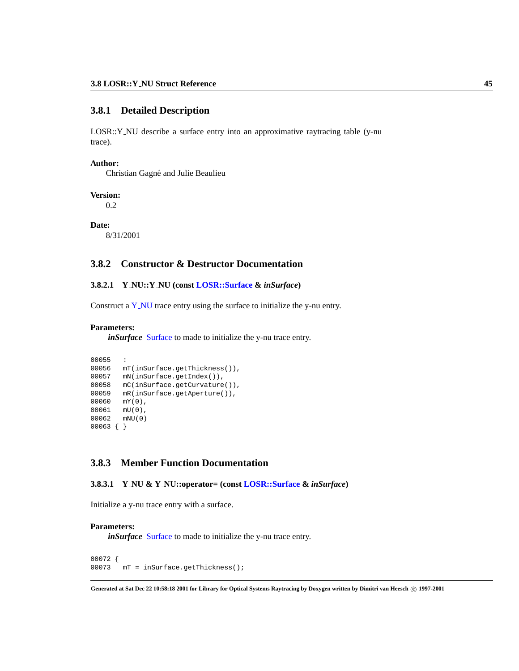# **3.8.1 Detailed Description**

LOSR::Y NU describe a surface entry into an approximative raytracing table (y-nu trace).

#### **Author:**

Christian Gagné and Julie Beaulieu

# **Version:**

0.2

# **Date:**

8/31/2001

# **3.8.2 Constructor & Destructor Documentation**

# <span id="page-48-0"></span>**3.8.2.1 Y NU::Y NU (const [LOSR::Surface](#page-43-0) &** *inSurface***)**

Construct a Y\_[NU](#page-47-0) trace entry using the surface to initialize the y-nu entry.

# **Parameters:**

*in[Surface](#page-43-0)* Surface to made to initialize the y-nu trace entry.

```
00055
00056 mT(inSurface.getThickness()),
00057 mN(inSurface.getIndex()),
00058 mC(inSurface.getCurvature()),
00059 mR(inSurface.getAperture()),
00060 mY(0),
00061 mU(0),
00062 mNU(0)
00063 { }
```
# **3.8.3 Member Function Documentation**

# <span id="page-48-1"></span>**3.8.3.1 Y NU & Y NU::operator= (const [LOSR::Surface](#page-43-0) &** *inSurface***)**

Initialize a y-nu trace entry with a surface.

# **Parameters:**

*inSurface* [Surface](#page-43-0) to made to initialize the y-nu trace entry.

```
00072 {
00073 mT = inSurface.getThickness();
```